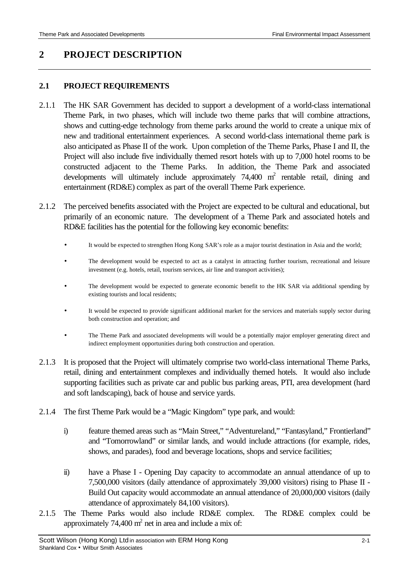# **2 PROJECT DESCRIPTION**

### **2.1 PROJECT REQUIREMENTS**

- 2.1.1 The HK SAR Government has decided to support a development of a world-class international Theme Park, in two phases, which will include two theme parks that will combine attractions, shows and cutting-edge technology from theme parks around the world to create a unique mix of new and traditional entertainment experiences. A second world-class international theme park is also anticipated as Phase II of the work. Upon completion of the Theme Parks, Phase I and II, the Project will also include five individually themed resort hotels with up to 7,000 hotel rooms to be constructed adjacent to the Theme Parks. In addition, the Theme Park and associated developments will ultimately include approximately 74,400 m<sup>2</sup> rentable retail, dining and entertainment (RD&E) complex as part of the overall Theme Park experience.
- 2.1.2 The perceived benefits associated with the Project are expected to be cultural and educational, but primarily of an economic nature. The development of a Theme Park and associated hotels and RD&E facilities has the potential for the following key economic benefits:
	- It would be expected to strengthen Hong Kong SAR's role as a major tourist destination in Asia and the world;
	- The development would be expected to act as a catalyst in attracting further tourism, recreational and leisure investment (e.g. hotels, retail, tourism services, air line and transport activities);
	- The development would be expected to generate economic benefit to the HK SAR via additional spending by existing tourists and local residents;
	- It would be expected to provide significant additional market for the services and materials supply sector during both construction and operation; and
	- The Theme Park and associated developments will would be a potentially major employer generating direct and indirect employment opportunities during both construction and operation.
- 2.1.3 It is proposed that the Project will ultimately comprise two world-class international Theme Parks, retail, dining and entertainment complexes and individually themed hotels. It would also include supporting facilities such as private car and public bus parking areas, PTI, area development (hard and soft landscaping), back of house and service yards.
- 2.1.4 The first Theme Park would be a "Magic Kingdom" type park, and would:
	- i) feature themed areas such as "Main Street," "Adventureland," "Fantasyland," Frontierland" and "Tomorrowland" or similar lands, and would include attractions (for example, rides, shows, and parades), food and beverage locations, shops and service facilities;
	- ii) have a Phase I Opening Day capacity to accommodate an annual attendance of up to 7,500,000 visitors (daily attendance of approximately 39,000 visitors) rising to Phase II - Build Out capacity would accommodate an annual attendance of 20,000,000 visitors (daily attendance of approximately 84,100 visitors).
- 2.1.5 The Theme Parks would also include RD&E complex. The RD&E complex could be approximately 74,400  $m^2$  net in area and include a mix of: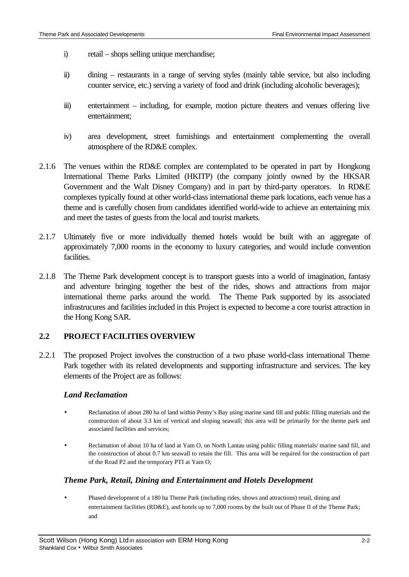- i) retail shops selling unique merchandise;
- ii) dining restaurants in a range of serving styles (mainly table service, but also including counter service, etc.) serving a variety of food and drink (including alcoholic beverages);
- iii) entertainment including, for example, motion picture theaters and venues offering live entertainment;
- iv) area development, street furnishings and entertainment complementing the overall atmosphere of the RD&E complex.
- 2.1.6 The venues within the RD&E complex are contemplated to be operated in part by Hongkong International Theme Parks Limited (HKITP) (the company jointly owned by the HKSAR Government and the Walt Disney Company) and in part by third-party operators. In RD&E complexes typically found at other world-class international theme park locations, each venue has a theme and is carefully chosen from candidates identified world-wide to achieve an entertaining mix and meet the tastes of guests from the local and tourist markets.
- 2.1.7 Ultimately five or more individually themed hotels would be built with an aggregate of approximately 7,000 rooms in the economy to luxury categories, and would include convention facilities.
- 2.1.8 The Theme Park development concept is to transport guests into a world of imagination, fantasy and adventure bringing together the best of the rides, shows and attractions from major international theme parks around the world. The Theme Park supported by its associated infrastrucures and facilities included in this Project is expected to become a core tourist attraction in the Hong Kong SAR.

## **2.2 PROJECT FACILITIES OVERVIEW**

2.2.1 The proposed Project involves the construction of a two phase world-class international Theme Park together with its related developments and supporting infrastructure and services. The key elements of the Project are as follows:

### *Land Reclamation*

- Reclamation of about 280 ha of land within Penny's Bay using marine sand fill and public filling materials and the construction of about 3.3 km of vertical and sloping seawall; this area will be primarily for the theme park and associated facilities and services;
- Reclamation of about 10 ha of land at Yam O, on North Lantau using public filling materials/ marine sand fill, and the construction of about 0.7 km seawall to retain the fill. This area will be required for the construction of part of the Road P2 and the temporary PTI at Yam O;

## *Theme Park, Retail, Dining and Entertainment and Hotels Development*

• Phased development of a 180 ha Theme Park (including rides, shows and attractions) retail, dining and entertainment facilities (RD&E), and hotels up to 7,000 rooms by the built out of Phase II of the Theme Park; and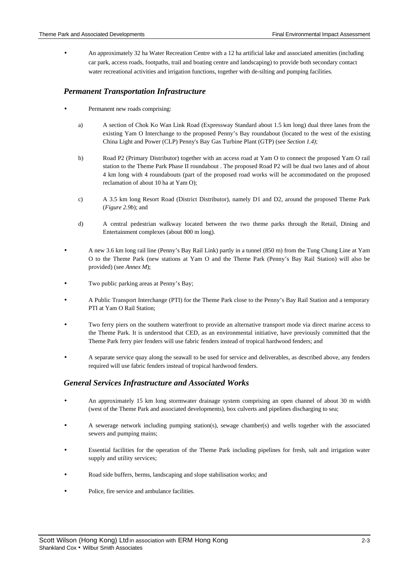• An approximately 32 ha Water Recreation Centre with a 12 ha artificial lake and associated amenities (including car park, access roads, footpaths, trail and boating centre and landscaping) to provide both secondary contact water recreational activities and irrigation functions, together with de-silting and pumping facilities.

#### *Permanent Transportation Infrastructure*

- Permanent new roads comprising:
	- a) A section of Chok Ko Wan Link Road (Expressway Standard about 1.5 km long) dual three lanes from the existing Yam O Interchange to the proposed Penny's Bay roundabout (located to the west of the existing China Light and Power (CLP) Penny's Bay Gas Turbine Plant (GTP) (see *Section 1.4)*;
	- b) Road P2 (Primary Distributor) together with an access road at Yam O to connect the proposed Yam O rail station to the Theme Park Phase II roundabout . The proposed Road P2 will be dual two lanes and of about 4 km long with 4 roundabouts (part of the proposed road works will be accommodated on the proposed reclamation of about 10 ha at Yam O);
	- c) A 3.5 km long Resort Road (District Distributor), namely D1 and D2, around the proposed Theme Park (*Figure 2.9b*); and
	- d) A central pedestrian walkway located between the two theme parks through the Retail, Dining and Entertainment complexes (about 800 m long).
- A new 3.6 km long rail line (Penny's Bay Rail Link) partly in a tunnel (850 m) from the Tung Chung Line at Yam O to the Theme Park (new stations at Yam O and the Theme Park (Penny's Bay Rail Station) will also be provided) (see *Annex M*);
- Two public parking areas at Penny's Bay;
- A Public Transport Interchange (PTI) for the Theme Park close to the Penny's Bay Rail Station and a temporary PTI at Yam O Rail Station;
- Two ferry piers on the southern waterfront to provide an alternative transport mode via direct marine access to the Theme Park. It is understood that CED, as an environmental initiative, have previously committed that the Theme Park ferry pier fenders will use fabric fenders instead of tropical hardwood fenders; and
- A separate service quay along the seawall to be used for service and deliverables, as described above, any fenders required will use fabric fenders instead of tropical hardwood fenders.

### *General Services Infrastructure and Associated Works*

- An approximately 15 km long stormwater drainage system comprising an open channel of about 30 m width (west of the Theme Park and associated developments), box culverts and pipelines discharging to sea;
- A sewerage network including pumping station(s), sewage chamber(s) and wells together with the associated sewers and pumping mains;
- Essential facilities for the operation of the Theme Park including pipelines for fresh, salt and irrigation water supply and utility services;
- Road side buffers, berms, landscaping and slope stabilisation works; and
- Police, fire service and ambulance facilities.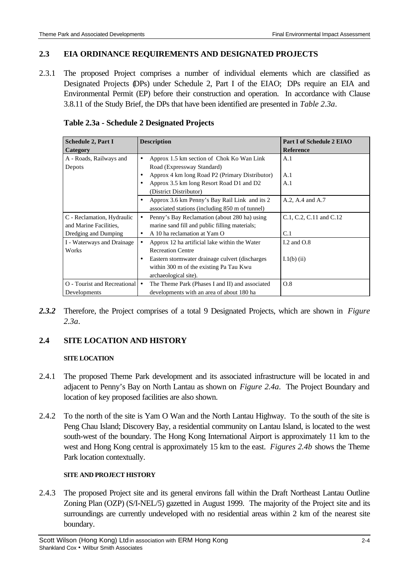### **2.3 EIA ORDINANCE REQUIREMENTS AND DESIGNATED PROJECTS**

2.3.1 The proposed Project comprises a number of individual elements which are classified as Designated Projects (DPs) under Schedule 2, Part I of the EIAO; DPs require an EIA and Environmental Permit (EP) before their construction and operation. In accordance with Clause 3.8.11 of the Study Brief, the DPs that have been identified are presented in *Table 2.3a*.

| <b>Schedule 2, Part I</b>                                                    | <b>Description</b>                                                                                                                                                                               | <b>Part I of Schedule 2 EIAO</b> |
|------------------------------------------------------------------------------|--------------------------------------------------------------------------------------------------------------------------------------------------------------------------------------------------|----------------------------------|
| Category                                                                     |                                                                                                                                                                                                  | <b>Reference</b>                 |
| A - Roads, Railways and<br>Depots                                            | Approx 1.5 km section of Chok Ko Wan Link<br>Road (Expressway Standard)<br>Approx 4 km long Road P2 (Primary Distributor)<br>Approx 3.5 km long Resort Road D1 and D2<br>(District Distributor)  | A.1<br>A.1<br>A.1                |
|                                                                              | Approx 3.6 km Penny's Bay Rail Link and its 2<br>associated stations (including 850 m of tunnel)                                                                                                 | A.2, A.4 and A.7                 |
| C - Reclamation, Hydraulic<br>and Marine Facilities.<br>Dredging and Dumping | Penny's Bay Reclamation (about 280 ha) using<br>marine sand fill and public filling materials;<br>A 10 ha reclamation at Yam O<br>٠                                                              | C.1, C.2, C.11 and C.12<br>C.1   |
| I - Waterways and Drainage<br>Works                                          | Approx 12 ha artificial lake within the Water<br><b>Recreation Centre</b><br>Eastern stormwater drainage culvert (discharges<br>within 300 m of the existing Pa Tau Kwu<br>archaeological site). | I.2 and $O.8$<br>$I(1(b)$ (ii)   |
| <b>O</b> - Tourist and Recreational<br>Developments                          | The Theme Park (Phases I and II) and associated<br>developments with an area of about 180 ha                                                                                                     | O.8                              |

**Table 2.3a - Schedule 2 Designated Projects**

*2.3.2* Therefore, the Project comprises of a total 9 Designated Projects, which are shown in *Figure 2.3a*.

## **2.4 SITE LOCATION AND HISTORY**

### **SITE LOCATION**

- 2.4.1 The proposed Theme Park development and its associated infrastructure will be located in and adjacent to Penny's Bay on North Lantau as shown on *Figure 2.4a*. The Project Boundary and location of key proposed facilities are also shown.
- 2.4.2 To the north of the site is Yam O Wan and the North Lantau Highway. To the south of the site is Peng Chau Island; Discovery Bay, a residential community on Lantau Island, is located to the west south-west of the boundary. The Hong Kong International Airport is approximately 11 km to the west and Hong Kong central is approximately 15 km to the east. *Figures 2.4b* shows the Theme Park location contextually.

### **SITE AND PROJECT HISTORY**

2.4.3 The proposed Project site and its general environs fall within the Draft Northeast Lantau Outline Zoning Plan (OZP) (S/I-NEL/5) gazetted in August 1999. The majority of the Project site and its surroundings are currently undeveloped with no residential areas within 2 km of the nearest site boundary.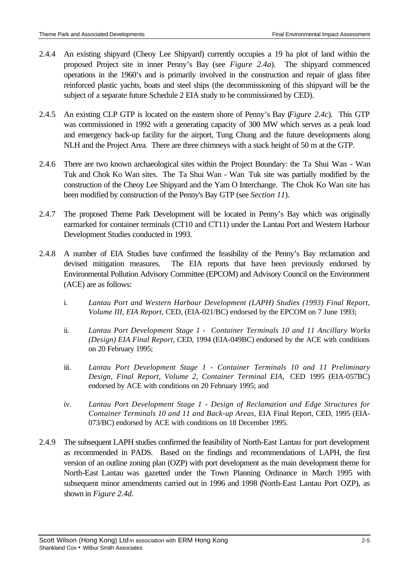- 2.4.4 An existing shipyard (Cheoy Lee Shipyard) currently occupies a 19 ha plot of land within the proposed Project site in inner Penny's Bay (see *Figure 2.4a*). The shipyard commenced operations in the 1960's and is primarily involved in the construction and repair of glass fibre reinforced plastic yachts, boats and steel ships (the decommissioning of this shipyard will be the subject of a separate future Schedule 2 EIA study to be commissioned by CED).
- 2.4.5 An existing CLP GTP is located on the eastern shore of Penny's Bay (*Figure 2.4c*). This GTP was commissioned in 1992 with a generating capacity of 300 MW which serves as a peak load and emergency back-up facility for the airport, Tung Chung and the future developments along NLH and the Project Area. There are three chimneys with a stack height of 50 m at the GTP.
- 2.4.6 There are two known archaeological sites within the Project Boundary: the Ta Shui Wan Wan Tuk and Chok Ko Wan sites. The Ta Shui Wan - Wan Tuk site was partially modified by the construction of the Cheoy Lee Shipyard and the Yam O Interchange. The Chok Ko Wan site has been modified by construction of the Penny's Bay GTP (see *Section 11*).
- 2.4.7 The proposed Theme Park Development will be located in Penny's Bay which was originally earmarked for container terminals (CT10 and CT11) under the Lantau Port and Western Harbour Development Studies conducted in 1993.
- 2.4.8 A number of EIA Studies have confirmed the feasibility of the Penny's Bay reclamation and devised mitigation measures. The EIA reports that have been previously endorsed by Environmental Pollution Advisory Committee (EPCOM) and Advisory Council on the Environment (ACE) are as follows:
	- i. *Lantau Port and Western Harbour Development (LAPH) Studies (1993) Final Report, Volume III, EIA Report,* CED, (EIA-021/BC) endorsed by the EPCOM on 7 June 1993;
	- ii. *Lantau Port Development Stage 1 Container Terminals 10 and 11 Ancillary Works (Design) EIA Final Report,* CED, 1994 (EIA-049BC) endorsed by the ACE with conditions on 20 February 1995;
	- iii. *Lantau Port Development Stage 1 Container Terminals 10 and 11 Preliminary Design, Final Report, Volume 2, Container Terminal EIA,* CED 1995 (EIA-057BC) endorsed by ACE with conditions on 20 February 1995; and
	- iv. *Lantau Port Development Stage 1 Design of Reclamation and Edge Structures for Container Terminals 10 and 11 and Back-up Areas*, EIA Final Report, CED, 1995 (EIA-073/BC) endorsed by ACE with conditions on 18 December 1995.
- 2.4.9 The subsequent LAPH studies confirmed the feasibility of North-East Lantau for port development as recommended in PADS. Based on the findings and recommendations of LAPH, the first version of an outline zoning plan (OZP) with port development as the main development theme for North-East Lantau was gazetted under the Town Planning Ordinance in March 1995 with subsequent minor amendments carried out in 1996 and 1998 (North-East Lantau Port OZP), as shown in *Figure 2.4d*.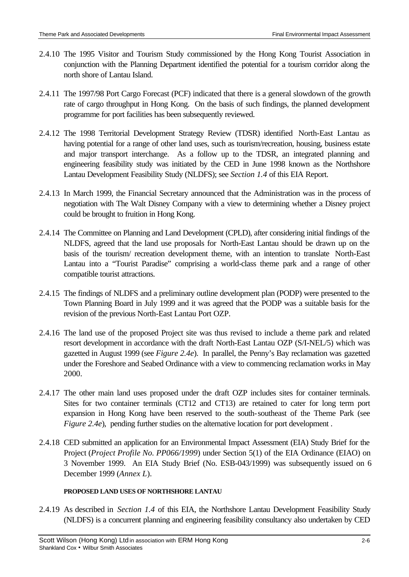- 2.4.10 The 1995 Visitor and Tourism Study commissioned by the Hong Kong Tourist Association in conjunction with the Planning Department identified the potential for a tourism corridor along the north shore of Lantau Island.
- 2.4.11 The 1997/98 Port Cargo Forecast (PCF) indicated that there is a general slowdown of the growth rate of cargo throughput in Hong Kong. On the basis of such findings, the planned development programme for port facilities has been subsequently reviewed.
- 2.4.12 The 1998 Territorial Development Strategy Review (TDSR) identified North-East Lantau as having potential for a range of other land uses, such as tourism/recreation, housing, business estate and major transport interchange. As a follow up to the TDSR, an integrated planning and engineering feasibility study was initiated by the CED in June 1998 known as the Northshore Lantau Development Feasibility Study (NLDFS); see *Section 1.4* of this EIA Report.
- 2.4.13 In March 1999, the Financial Secretary announced that the Administration was in the process of negotiation with The Walt Disney Company with a view to determining whether a Disney project could be brought to fruition in Hong Kong.
- 2.4.14 The Committee on Planning and Land Development (CPLD), after considering initial findings of the NLDFS, agreed that the land use proposals for North-East Lantau should be drawn up on the basis of the tourism/ recreation development theme, with an intention to translate North-East Lantau into a "Tourist Paradise" comprising a world-class theme park and a range of other compatible tourist attractions.
- 2.4.15 The findings of NLDFS and a preliminary outline development plan (PODP) were presented to the Town Planning Board in July 1999 and it was agreed that the PODP was a suitable basis for the revision of the previous North-East Lantau Port OZP.
- 2.4.16 The land use of the proposed Project site was thus revised to include a theme park and related resort development in accordance with the draft North-East Lantau OZP (S/I-NEL/5) which was gazetted in August 1999 (see *Figure 2.4e*). In parallel, the Penny's Bay reclamation was gazetted under the Foreshore and Seabed Ordinance with a view to commencing reclamation works in May 2000.
- 2.4.17 The other main land uses proposed under the draft OZP includes sites for container terminals. Sites for two container terminals (CT12 and CT13) are retained to cater for long term port expansion in Hong Kong have been reserved to the south-southeast of the Theme Park (see *Figure 2.4e*), pending further studies on the alternative location for port development.
- 2.4.18 CED submitted an application for an Environmental Impact Assessment (EIA) Study Brief for the Project (*Project Profile No. PP066/1999*) under Section 5(1) of the EIA Ordinance (EIAO) on 3 November 1999. An EIA Study Brief (No. ESB-043/1999) was subsequently issued on 6 December 1999 (*Annex L*).

### **PROPOSED LAND USES OF NORTHSHORE LANTAU**

2.4.19 As described in *Section 1.4* of this EIA, the Northshore Lantau Development Feasibility Study (NLDFS) is a concurrent planning and engineering feasibility consultancy also undertaken by CED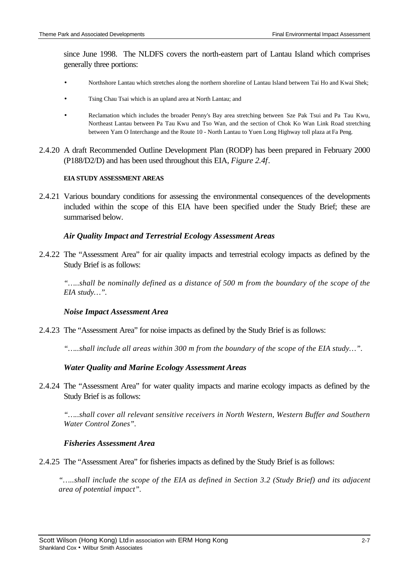since June 1998. The NLDFS covers the north-eastern part of Lantau Island which comprises generally three portions:

- Northshore Lantau which stretches along the northern shoreline of Lantau Island between Tai Ho and Kwai Shek;
- Tsing Chau Tsai which is an upland area at North Lantau; and
- Reclamation which includes the broader Penny's Bay area stretching between Sze Pak Tsui and Pa Tau Kwu, Northeast Lantau between Pa Tau Kwu and Tso Wan, and the section of Chok Ko Wan Link Road stretching between Yam O Interchange and the Route 10 - North Lantau to Yuen Long Highway toll plaza at Fa Peng.
- 2.4.20 A draft Recommended Outline Development Plan (RODP) has been prepared in February 2000 (P188/D2/D) and has been used throughout this EIA, *Figure 2.4f*.

#### **EIA STUDY ASSESSMENT AREAS**

2.4.21 Various boundary conditions for assessing the environmental consequences of the developments included within the scope of this EIA have been specified under the Study Brief; these are summarised below.

#### *Air Quality Impact and Terrestrial Ecology Assessment Areas*

2.4.22 The "Assessment Area" for air quality impacts and terrestrial ecology impacts as defined by the Study Brief is as follows:

*"…..shall be nominally defined as a distance of 500 m from the boundary of the scope of the EIA study…".*

#### *Noise Impact Assessment Area*

2.4.23 The "Assessment Area" for noise impacts as defined by the Study Brief is as follows:

*"…..shall include all areas within 300 m from the boundary of the scope of the EIA study…".*

### *Water Quality and Marine Ecology Assessment Areas*

2.4.24 The "Assessment Area" for water quality impacts and marine ecology impacts as defined by the Study Brief is as follows:

*"…..shall cover all relevant sensitive receivers in North Western, Western Buffer and Southern Water Control Zones".*

#### *Fisheries Assessment Area*

- 2.4.25 The "Assessment Area" for fisheries impacts as defined by the Study Brief is as follows:
	- *"…..shall include the scope of the EIA as defined in Section 3.2 (Study Brief) and its adjacent area of potential impact".*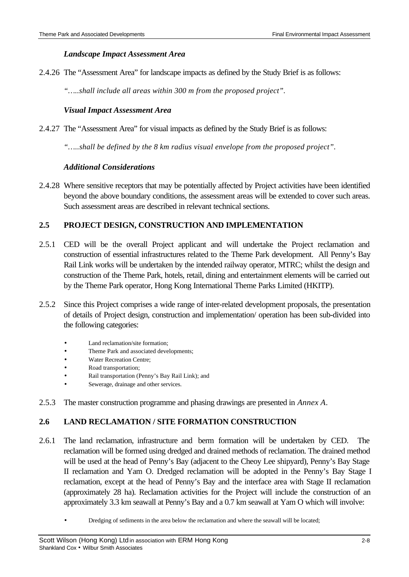### *Landscape Impact Assessment Area*

2.4.26 The "Assessment Area" for landscape impacts as defined by the Study Brief is as follows:

*"…..shall include all areas within 300 m from the proposed project".*

### *Visual Impact Assessment Area*

2.4.27 The "Assessment Area" for visual impacts as defined by the Study Brief is as follows:

*"…..shall be defined by the 8 km radius visual envelope from the proposed project".*

### *Additional Considerations*

2.4.28 Where sensitive receptors that may be potentially affected by Project activities have been identified beyond the above boundary conditions, the assessment areas will be extended to cover such areas. Such assessment areas are described in relevant technical sections.

## **2.5 PROJECT DESIGN, CONSTRUCTION AND IMPLEMENTATION**

- 2.5.1 CED will be the overall Project applicant and will undertake the Project reclamation and construction of essential infrastructures related to the Theme Park development. All Penny's Bay Rail Link works will be undertaken by the intended railway operator, MTRC; whilst the design and construction of the Theme Park, hotels, retail, dining and entertainment elements will be carried out by the Theme Park operator, Hong Kong International Theme Parks Limited (HKITP).
- 2.5.2 Since this Project comprises a wide range of inter-related development proposals, the presentation of details of Project design, construction and implementation/ operation has been sub-divided into the following categories:
	- Land reclamation/site formation:
	- Theme Park and associated developments;
	- Water Recreation Centre;
	- Road transportation;
	- Rail transportation (Penny's Bay Rail Link); and
	- Sewerage, drainage and other services.
- 2.5.3 The master construction programme and phasing drawings are presented in *Annex A*.

## **2.6 LAND RECLAMATION / SITE FORMATION CONSTRUCTION**

- 2.6.1 The land reclamation, infrastructure and berm formation will be undertaken by CED. The reclamation will be formed using dredged and drained methods of reclamation. The drained method will be used at the head of Penny's Bay (adjacent to the Cheoy Lee shipyard), Penny's Bay Stage II reclamation and Yam O. Dredged reclamation will be adopted in the Penny's Bay Stage I reclamation, except at the head of Penny's Bay and the interface area with Stage II reclamation (approximately 28 ha). Reclamation activities for the Project will include the construction of an approximately 3.3 km seawall at Penny's Bay and a 0.7 km seawall at Yam O which will involve:
	- Dredging of sediments in the area below the reclamation and where the seawall will be located;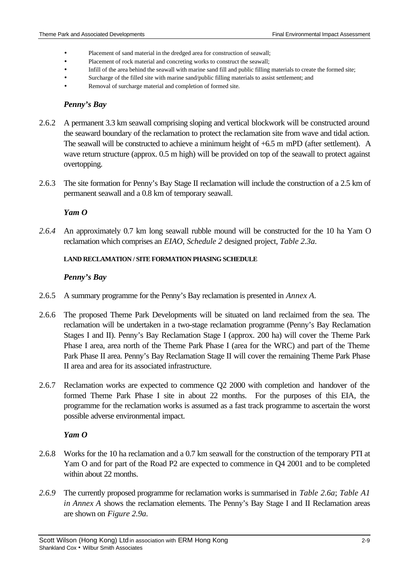- Placement of sand material in the dredged area for construction of seawall;
- Placement of rock material and concreting works to construct the seawall;
- Infill of the area behind the seawall with marine sand fill and public filling materials to create the formed site;
- Surcharge of the filled site with marine sand/public filling materials to assist settlement; and
- Removal of surcharge material and completion of formed site.

### *Penny's Bay*

- 2.6.2 A permanent 3.3 km seawall comprising sloping and vertical blockwork will be constructed around the seaward boundary of the reclamation to protect the reclamation site from wave and tidal action. The seawall will be constructed to achieve a minimum height of +6.5 m mPD (after settlement). A wave return structure (approx. 0.5 m high) will be provided on top of the seawall to protect against overtopping.
- 2.6.3 The site formation for Penny's Bay Stage II reclamation will include the construction of a 2.5 km of permanent seawall and a 0.8 km of temporary seawall.

### *Yam O*

*2.6.4* An approximately 0.7 km long seawall rubble mound will be constructed for the 10 ha Yam O reclamation which comprises an *EIAO, Schedule 2* designed project, *Table 2.3a.*

### **LAND RECLAMATION / SITE FORMATION PHASING SCHEDULE**

### *Penny's Bay*

- 2.6.5 A summary programme for the Penny's Bay reclamation is presented in *Annex A.*
- 2.6.6 The proposed Theme Park Developments will be situated on land reclaimed from the sea. The reclamation will be undertaken in a two-stage reclamation programme (Penny's Bay Reclamation Stages I and II). Penny's Bay Reclamation Stage I (approx. 200 ha) will cover the Theme Park Phase I area, area north of the Theme Park Phase I (area for the WRC) and part of the Theme Park Phase II area. Penny's Bay Reclamation Stage II will cover the remaining Theme Park Phase II area and area for its associated infrastructure.
- 2.6.7 Reclamation works are expected to commence Q2 2000 with completion and handover of the formed Theme Park Phase I site in about 22 months. For the purposes of this EIA, the programme for the reclamation works is assumed as a fast track programme to ascertain the worst possible adverse environmental impact.

### *Yam O*

- 2.6.8 Works for the 10 ha reclamation and a 0.7 km seawall for the construction of the temporary PTI at Yam O and for part of the Road P2 are expected to commence in Q4 2001 and to be completed within about 22 months.
- *2.6.9* The currently proposed programme for reclamation works is summarised in *Table 2.6a*; *Table A1 in Annex A* shows the reclamation elements. The Penny's Bay Stage I and II Reclamation areas are shown on *Figure 2.9a.*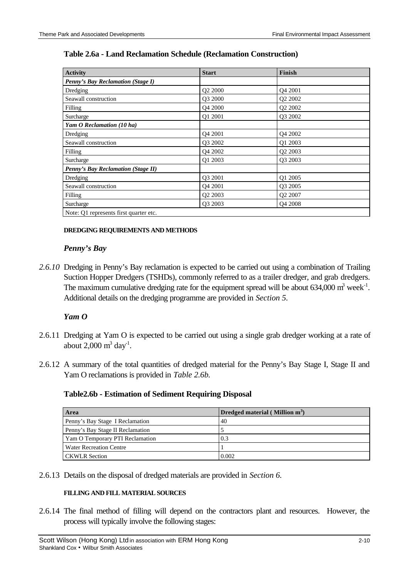| <b>Activity</b>                           | <b>Start</b>        | Finish                          |
|-------------------------------------------|---------------------|---------------------------------|
| <b>Penny's Bay Reclamation (Stage I)</b>  |                     |                                 |
| Dredging                                  | Q2 2000             | Q4 2001                         |
| Seawall construction                      | O3 2000             | Q2 2002                         |
| Filling                                   | O <sub>4</sub> 2000 | Q2 2002                         |
| Surcharge                                 | O1 2001             | Q3 2002                         |
| Yam O Reclamation (10 ha)                 |                     |                                 |
| Dredging                                  | O <sub>4</sub> 2001 | Q4 2002                         |
| Seawall construction                      | Q3 2002             | Q1 2003                         |
| Filling                                   | Q4 2002             | Q <sub>2</sub> 2003             |
| Surcharge                                 | O1 2003             | O <sub>3</sub> 200 <sub>3</sub> |
| <b>Penny's Bay Reclamation (Stage II)</b> |                     |                                 |
| Dredging                                  | Q3 2001             | Q1 2005                         |
| Seawall construction                      | O <sub>4</sub> 2001 | Q3 2005                         |
| Filling                                   | O <sub>2</sub> 2003 | Q <sub>2</sub> 2007             |
| Surcharge                                 | O3 2003             | O <sub>4</sub> 2008             |
| Note: Q1 represents first quarter etc.    |                     |                                 |

#### **DREDGING REQUIREMENTS AND METHODS**

#### *Penny's Bay*

*2.6.10* Dredging in Penny's Bay reclamation is expected to be carried out using a combination of Trailing Suction Hopper Dredgers (TSHDs), commonly referred to as a trailer dredger, and grab dredgers. The maximum cumulative dredging rate for the equipment spread will be about  $634,000$  m<sup>3</sup> week<sup>-1</sup>. Additional details on the dredging programme are provided in *Section 5.*

#### *Yam O*

- 2.6.11 Dredging at Yam O is expected to be carried out using a single grab dredger working at a rate of about  $2,000 \text{ m}^3 \text{ day}^1$ .
- 2.6.12 A summary of the total quantities of dredged material for the Penny's Bay Stage I, Stage II and Yam O reclamations is provided in *Table 2.6b.*

#### **Table2.6b - Estimation of Sediment Requiring Disposal**

| Area                             | Dredged material (Million $m3$ ) |
|----------------------------------|----------------------------------|
| Penny's Bay Stage I Reclamation  | 40                               |
| Penny's Bay Stage II Reclamation |                                  |
| Yam O Temporary PTI Reclamation  | 0.3                              |
| <b>Water Recreation Centre</b>   |                                  |
| <b>CKWLR</b> Section             | 0.002                            |

2.6.13 Details on the disposal of dredged materials are provided in *Section 6.*

#### **FILLING AND FILL MATERIAL SOURCES**

2.6.14 The final method of filling will depend on the contractors plant and resources. However, the process will typically involve the following stages: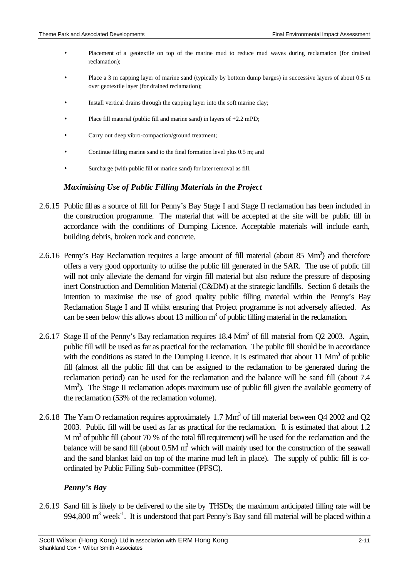- Placement of a geotextile on top of the marine mud to reduce mud waves during reclamation (for drained reclamation);
- Place a 3 m capping layer of marine sand (typically by bottom dump barges) in successive layers of about 0.5 m over geotextile layer (for drained reclamation);
- Install vertical drains through the capping layer into the soft marine clay;
- Place fill material (public fill and marine sand) in layers of +2.2 mPD;
- Carry out deep vibro-compaction/ground treatment;
- Continue filling marine sand to the final formation level plus 0.5 m; and
- Surcharge (with public fill or marine sand) for later removal as fill.

#### *Maximising Use of Public Filling Materials in the Project*

- 2.6.15 Public fill as a source of fill for Penny's Bay Stage I and Stage II reclamation has been included in the construction programme. The material that will be accepted at the site will be public fill in accordance with the conditions of Dumping Licence. Acceptable materials will include earth, building debris, broken rock and concrete.
- 2.6.16 Penny's Bay Reclamation requires a large amount of fill material (about 85 Mm<sup>3</sup>) and therefore offers a very good opportunity to utilise the public fill generated in the SAR. The use of public fill will not only alleviate the demand for virgin fill material but also reduce the pressure of disposing inert Construction and Demolition Material (C&DM) at the strategic landfills. Section 6 details the intention to maximise the use of good quality public filling material within the Penny's Bay Reclamation Stage I and II whilst ensuring that Project programme is not adversely affected. As can be seen below this allows about 13 million  $m<sup>3</sup>$  of public filling material in the reclamation.
- 2.6.17 Stage II of the Penny's Bay reclamation requires  $18.4 \text{ Mm}^3$  of fill material from Q2 2003. Again, public fill will be used as far as practical for the reclamation. The public fill should be in accordance with the conditions as stated in the Dumping Licence. It is estimated that about 11  $\text{Mm}^3$  of public fill (almost all the public fill that can be assigned to the reclamation to be generated during the reclamation period) can be used for the reclamation and the balance will be sand fill (about 7.4 Mm<sup>3</sup>). The Stage II reclamation adopts maximum use of public fill given the available geometry of the reclamation (53% of the reclamation volume).
- 2.6.18 The Yam O reclamation requires approximately 1.7  $\text{Mm}^3$  of fill material between Q4 2002 and Q2 2003. Public fill will be used as far as practical for the reclamation. It is estimated that about 1.2 M m<sup>3</sup> of public fill (about 70 % of the total fill requirement) will be used for the reclamation and the balance will be sand fill (about  $0.5M$  m<sup>3</sup> which will mainly used for the construction of the seawall and the sand blanket laid on top of the marine mud left in place).The supply of public fill is coordinated by Public Filling Sub-committee (PFSC).

### *Penny's Bay*

2.6.19 Sand fill is likely to be delivered to the site by THSDs; the maximum anticipated filling rate will be 994,800  $m<sup>3</sup>$  week<sup>-1</sup>. It is understood that part Penny's Bay sand fill material will be placed within a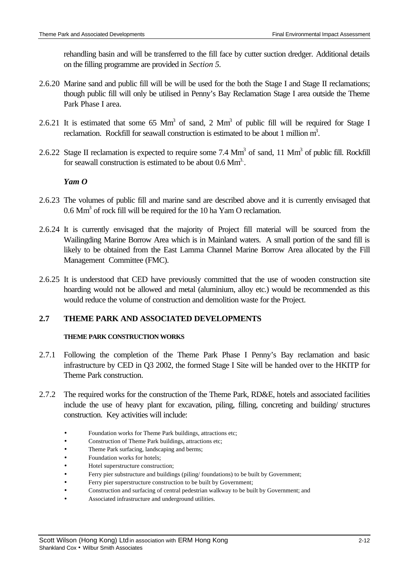rehandling basin and will be transferred to the fill face by cutter suction dredger. Additional details on the filling programme are provided in *Section 5.*

- 2.6.20 Marine sand and public fill will be will be used for the both the Stage I and Stage II reclamations; though public fill will only be utilised in Penny's Bay Reclamation Stage I area outside the Theme Park Phase I area.
- 2.6.21 It is estimated that some 65  $\text{Mm}^3$  of sand, 2  $\text{Mm}^3$  of public fill will be required for Stage I reclamation. Rockfill for seawall construction is estimated to be about 1 million  $m^3$ .
- 2.6.22 Stage II reclamation is expected to require some 7.4  $\text{Mm}^3$  of sand, 11  $\text{Mm}^3$  of public fill. Rockfill for seawall construction is estimated to be about  $0.6 \text{ Mm}^3$ .

### *Yam O*

- 2.6.23 The volumes of public fill and marine sand are described above and it is currently envisaged that  $0.6$  Mm<sup>3</sup> of rock fill will be required for the 10 ha Yam O reclamation.
- 2.6.24 It is currently envisaged that the majority of Project fill material will be sourced from the Wailingding Marine Borrow Area which is in Mainland waters. A small portion of the sand fill is likely to be obtained from the East Lamma Channel Marine Borrow Area allocated by the Fill Management Committee (FMC).
- 2.6.25 It is understood that CED have previously committed that the use of wooden construction site hoarding would not be allowed and metal (aluminium, alloy etc.) would be recommended as this would reduce the volume of construction and demolition waste for the Project.

## **2.7 THEME PARK AND ASSOCIATED DEVELOPMENTS**

### **THEME PARK CONSTRUCTION WORKS**

- 2.7.1 Following the completion of the Theme Park Phase I Penny's Bay reclamation and basic infrastructure by CED in Q3 2002, the formed Stage I Site will be handed over to the HKITP for Theme Park construction.
- 2.7.2 The required works for the construction of the Theme Park, RD&E, hotels and associated facilities include the use of heavy plant for excavation, piling, filling, concreting and building/ structures construction. Key activities will include:
	- Foundation works for Theme Park buildings, attractions etc;
	- Construction of Theme Park buildings, attractions etc;
	- Theme Park surfacing, landscaping and berms;
	- Foundation works for hotels;
	- Hotel superstructure construction;
	- Ferry pier substructure and buildings (piling/ foundations) to be built by Government;
	- Ferry pier superstructure construction to be built by Government;
	- Construction and surfacing of central pedestrian walkway to be built by Government; and
	- Associated infrastructure and underground utilities.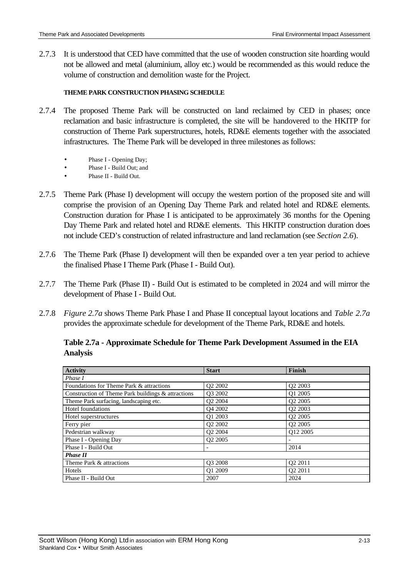2.7.3 It is understood that CED have committed that the use of wooden construction site hoarding would not be allowed and metal (aluminium, alloy etc.) would be recommended as this would reduce the volume of construction and demolition waste for the Project.

### **THEME PARK CONSTRUCTION PHASING SCHEDULE**

- 2.7.4 The proposed Theme Park will be constructed on land reclaimed by CED in phases; once reclamation and basic infrastructure is completed, the site will be handovered to the HKITP for construction of Theme Park superstructures, hotels, RD&E elements together with the associated infrastructures. The Theme Park will be developed in three milestones as follows:
	- Phase I Opening Day;
	- Phase I Build Out; and
	- Phase II Build Out.
- 2.7.5 Theme Park (Phase I) development will occupy the western portion of the proposed site and will comprise the provision of an Opening Day Theme Park and related hotel and RD&E elements. Construction duration for Phase I is anticipated to be approximately 36 months for the Opening Day Theme Park and related hotel and RD&E elements. This HKITP construction duration does not include CED's construction of related infrastructure and land reclamation (see *Section 2.6*).
- 2.7.6 The Theme Park (Phase I) development will then be expanded over a ten year period to achieve the finalised Phase I Theme Park (Phase I - Build Out).
- 2.7.7 The Theme Park (Phase II) Build Out is estimated to be completed in 2024 and will mirror the development of Phase I - Build Out.
- 2.7.8 *Figure 2.7a* shows Theme Park Phase I and Phase II conceptual layout locations and *Table 2.7a* provides the approximate schedule for development of the Theme Park, RD&E and hotels.

| <b>Activity</b>                                    | <b>Start</b>                    | Finish              |  |
|----------------------------------------------------|---------------------------------|---------------------|--|
| Phase I                                            |                                 |                     |  |
| Foundations for Theme Park & attractions           | O <sub>2</sub> 200 <sub>2</sub> | O <sub>2</sub> 2003 |  |
| Construction of Theme Park buildings & attractions | O3 2002                         | O1 2005             |  |
| Theme Park surfacing, landscaping etc.             | O <sub>2</sub> 2004             | O <sub>2</sub> 2005 |  |
| Hotel foundations                                  | O <sub>4</sub> 2002             | O <sub>2</sub> 2003 |  |
| Hotel superstructures                              | O1 2003                         | O <sub>2</sub> 2005 |  |
| Ferry pier                                         | O <sub>2</sub> 200 <sub>2</sub> | O <sub>2</sub> 2005 |  |
| Pedestrian walkway                                 | O <sub>2</sub> 2004             | O12 2005            |  |
| Phase I - Opening Day                              | O <sub>2</sub> 2005             |                     |  |
| Phase I - Build Out                                |                                 | 2014                |  |
| <b>Phase II</b>                                    |                                 |                     |  |
| Theme Park & attractions                           | O3 2008                         | Q2 2011             |  |
| Hotels                                             | O1 2009                         | O <sub>2</sub> 2011 |  |
| Phase II - Build Out                               | 2007                            | 2024                |  |

|          | Table 2.7a - Approximate Schedule for Theme Park Development Assumed in the EIA |
|----------|---------------------------------------------------------------------------------|
| Analysis |                                                                                 |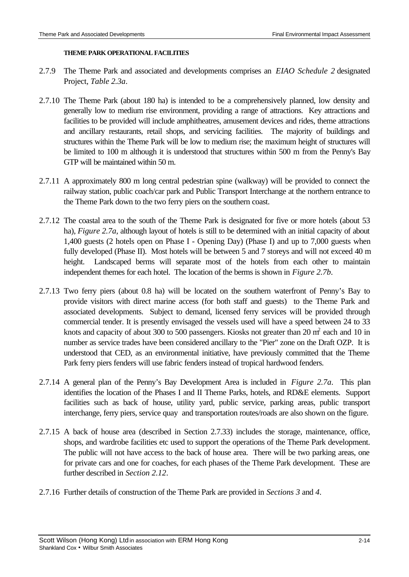#### **THEME PARK OPERATIONAL FACILITIES**

- 2.7.9 The Theme Park and associated and developments comprises an *EIAO Schedule 2* designated Project, *Table 2.3a*.
- 2.7.10 The Theme Park (about 180 ha) is intended to be a comprehensively planned, low density and generally low to medium rise environment, providing a range of attractions. Key attractions and facilities to be provided will include amphitheatres, amusement devices and rides, theme attractions and ancillary restaurants, retail shops, and servicing facilities. The majority of buildings and structures within the Theme Park will be low to medium rise; the maximum height of structures will be limited to 100 m although it is understood that structures within 500 m from the Penny's Bay GTP will be maintained within 50 m.
- 2.7.11 A approximately 800 m long central pedestrian spine (walkway) will be provided to connect the railway station, public coach/car park and Public Transport Interchange at the northern entrance to the Theme Park down to the two ferry piers on the southern coast.
- 2.7.12 The coastal area to the south of the Theme Park is designated for five or more hotels (about 53 ha), *Figure 2.7a*, although layout of hotels is still to be determined with an initial capacity of about 1,400 guests (2 hotels open on Phase I - Opening Day) (Phase I) and up to 7,000 guests when fully developed (Phase II). Most hotels will be between 5 and 7 storeys and will not exceed 40 m height. Landscaped berms will separate most of the hotels from each other to maintain independent themes for each hotel. The location of the berms is shown in *Figure 2.7b*.
- 2.7.13 Two ferry piers (about 0.8 ha) will be located on the southern waterfront of Penny's Bay to provide visitors with direct marine access (for both staff and guests) to the Theme Park and associated developments. Subject to demand, licensed ferry services will be provided through commercial tender. It is presently envisaged the vessels used will have a speed between 24 to 33 knots and capacity of about 300 to 500 passengers. Kiosks not greater than 20  $m^2$  each and 10 in number as service trades have been considered ancillary to the "Pier" zone on the Draft OZP. It is understood that CED, as an environmental initiative, have previously committed that the Theme Park ferry piers fenders will use fabric fenders instead of tropical hardwood fenders.
- 2.7.14 A general plan of the Penny's Bay Development Area is included in *Figure 2.7a*. This plan identifies the location of the Phases I and II Theme Parks, hotels, and RD&E elements. Support facilities such as back of house, utility yard, public service, parking areas, public transport interchange, ferry piers, service quay and transportation routes/roads are also shown on the figure.
- 2.7.15 A back of house area (described in Section 2.7.33) includes the storage, maintenance, office, shops, and wardrobe facilities etc used to support the operations of the Theme Park development. The public will not have access to the back of house area. There will be two parking areas, one for private cars and one for coaches, for each phases of the Theme Park development. These are further described in *Section 2.12*.
- 2.7.16 Further details of construction of the Theme Park are provided in *Sections 3* and *4*.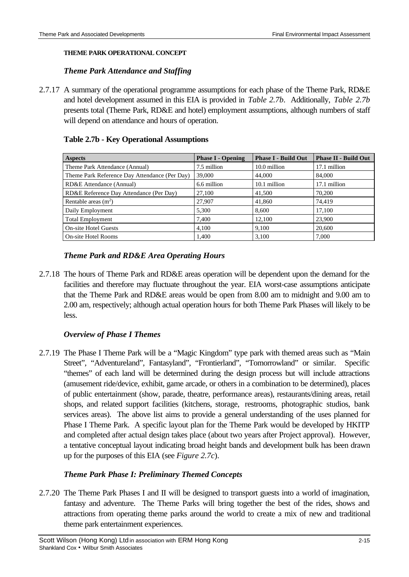### **THEME PARK OPERATIONAL CONCEPT**

### *Theme Park Attendance and Staffing*

2.7.17 A summary of the operational programme assumptions for each phase of the Theme Park, RD&E and hotel development assumed in this EIA is provided in *Table 2.7b*. Additionally, *Table 2.7b* presents total (Theme Park, RD&E and hotel) employment assumptions, although numbers of staff will depend on attendance and hours of operation.

### **Table 2.7b - Key Operational Assumptions**

| <b>Aspects</b>                                | <b>Phase I - Opening</b> | <b>Phase I - Build Out</b> | <b>Phase II - Build Out</b> |
|-----------------------------------------------|--------------------------|----------------------------|-----------------------------|
| Theme Park Attendance (Annual)                | 7.5 million              | 10.0 million               | 17.1 million                |
| Theme Park Reference Day Attendance (Per Day) | 39,000                   | 44,000                     | 84,000                      |
| RD&E Attendance (Annual)                      | 6.6 million              | 10.1 million               | 17.1 million                |
| RD&E Reference Day Attendance (Per Day)       | 27,100                   | 41,500                     | 70,200                      |
| Rentable areas $(m2)$                         | 27,907                   | 41,860                     | 74.419                      |
| Daily Employment                              | 5,300                    | 8,600                      | 17,100                      |
| <b>Total Employment</b>                       | 7,400                    | 12,100                     | 23,900                      |
| <b>On-site Hotel Guests</b>                   | 4.100                    | 9,100                      | 20,600                      |
| On-site Hotel Rooms                           | 1,400                    | 3,100                      | 7,000                       |

### *Theme Park and RD&E Area Operating Hours*

2.7.18 The hours of Theme Park and RD&E areas operation will be dependent upon the demand for the facilities and therefore may fluctuate throughout the year. EIA worst-case assumptions anticipate that the Theme Park and RD&E areas would be open from 8.00 am to midnight and 9.00 am to 2.00 am, respectively; although actual operation hours for both Theme Park Phases will likely to be less.

### *Overview of Phase I Themes*

2.7.19 The Phase I Theme Park will be a "Magic Kingdom" type park with themed areas such as "Main Street", "Adventureland", Fantasyland", "Frontierland", "Tomorrowland" or similar. Specific "themes" of each land will be determined during the design process but will include attractions (amusement ride/device, exhibit, game arcade, or others in a combination to be determined), places of public entertainment (show, parade, theatre, performance areas), restaurants/dining areas, retail shops, and related support facilities (kitchens, storage, restrooms, photographic studios, bank services areas). The above list aims to provide a general understanding of the uses planned for Phase I Theme Park. A specific layout plan for the Theme Park would be developed by HKITP and completed after actual design takes place (about two years after Project approval). However, a tentative conceptual layout indicating broad height bands and development bulk has been drawn up for the purposes of this EIA (see *Figure 2.7c*).

### *Theme Park Phase I: Preliminary Themed Concepts*

2.7.20 The Theme Park Phases I and II will be designed to transport guests into a world of imagination, fantasy and adventure. The Theme Parks will bring together the best of the rides, shows and attractions from operating theme parks around the world to create a mix of new and traditional theme park entertainment experiences.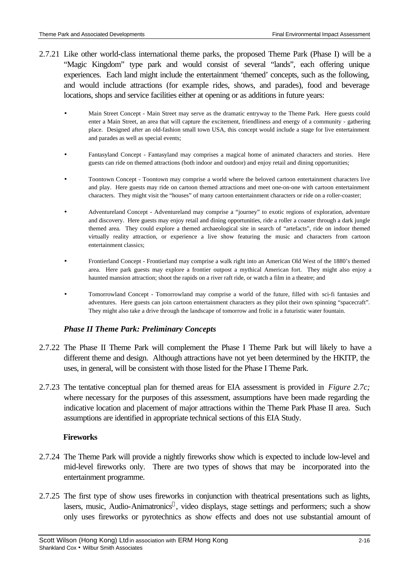- 2.7.21 Like other world-class international theme parks, the proposed Theme Park (Phase I) will be a "Magic Kingdom" type park and would consist of several "lands", each offering unique experiences. Each land might include the entertainment 'themed' concepts, such as the following, and would include attractions (for example rides, shows, and parades), food and beverage locations, shops and service facilities either at opening or as additions in future years:
	- Main Street Concept Main Street may serve as the dramatic entryway to the Theme Park. Here guests could enter a Main Street, an area that will capture the excitement, friendliness and energy of a community - gathering place. Designed after an old-fashion small town USA, this concept would include a stage for live entertainment and parades as well as special events;
	- Fantasyland Concept Fantasyland may comprises a magical home of animated characters and stories. Here guests can ride on themed attractions (both indoor and outdoor) and enjoy retail and dining opportunities;
	- Toontown Concept Toontown may comprise a world where the beloved cartoon entertainment characters live and play. Here guests may ride on cartoon themed attractions and meet one-on-one with cartoon entertainment characters. They might visit the "houses" of many cartoon entertainment characters or ride on a roller-coaster;
	- Adventureland Concept Adventureland may comprise a "journey" to exotic regions of exploration, adventure and discovery. Here guests may enjoy retail and dining opportunities, ride a roller a coaster through a dark jungle themed area. They could explore a themed archaeological site in search of "artefacts", ride on indoor themed virtually reality attraction, or experience a live show featuring the music and characters from cartoon entertainment classics;
	- Frontierland Concept Frontierland may comprise a walk right into an American Old West of the 1880's themed area. Here park guests may explore a frontier outpost a mythical American fort. They might also enjoy a haunted mansion attraction; shoot the rapids on a river raft ride, or watch a film in a theatre; and
	- Tomorrowland Concept Tomorrowland may comprise a world of the future, filled with sci-fi fantasies and adventures. Here guests can join cartoon entertainment characters as they pilot their own spinning "spacecraft". They might also take a drive through the landscape of tomorrow and frolic in a futuristic water fountain.

## *Phase II Theme Park: Preliminary Concepts*

- 2.7.22 The Phase II Theme Park will complement the Phase I Theme Park but will likely to have a different theme and design. Although attractions have not yet been determined by the HKITP, the uses, in general, will be consistent with those listed for the Phase I Theme Park.
- 2.7.23 The tentative conceptual plan for themed areas for EIA assessment is provided in *Figure 2.7c;* where necessary for the purposes of this assessment, assumptions have been made regarding the indicative location and placement of major attractions within the Theme Park Phase II area. Such assumptions are identified in appropriate technical sections of this EIA Study.

### **Fireworks**

- 2.7.24 The Theme Park will provide a nightly fireworks show which is expected to include low-level and mid-level fireworks only. There are two types of shows that may be incorporated into the entertainment programme.
- 2.7.25 The first type of show uses fireworks in conjunction with theatrical presentations such as lights, lasers, music, Audio-Animatronics®, video displays, stage settings and performers; such a show only uses fireworks or pyrotechnics as show effects and does not use substantial amount of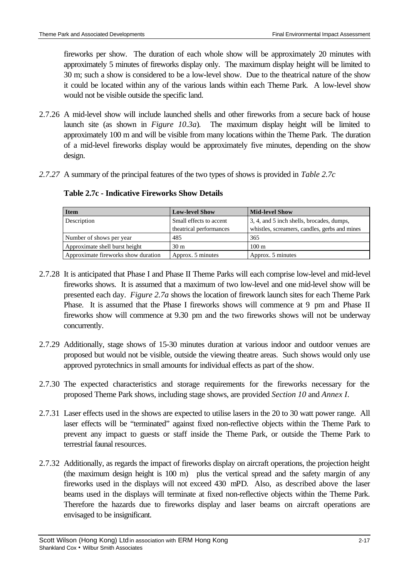fireworks per show. The duration of each whole show will be approximately 20 minutes with approximately 5 minutes of fireworks display only. The maximum display height will be limited to 30 m; such a show is considered to be a low-level show. Due to the theatrical nature of the show it could be located within any of the various lands within each Theme Park. A low-level show would not be visible outside the specific land.

- 2.7.26 A mid-level show will include launched shells and other fireworks from a secure back of house launch site (as shown in *Figure 10.3a*). The maximum display height will be limited to approximately 100 m and will be visible from many locations within the Theme Park. The duration of a mid-level fireworks display would be approximately five minutes, depending on the show design.
- *2.7.27* A summary of the principal features of the two types of shows is provided in *Table 2.7c*

| <b>Item</b>                         | <b>Low-level Show</b>   | <b>Mid-level Show</b>                         |
|-------------------------------------|-------------------------|-----------------------------------------------|
| Description                         | Small effects to accent | 3, 4, and 5 inch shells, brocades, dumps,     |
|                                     | theatrical performances | whistles, screamers, candles, gerbs and mines |
| Number of shows per year            | 485                     | 365                                           |
| Approximate shell burst height      | 30 <sub>m</sub>         | $100 \text{ m}$                               |
| Approximate fireworks show duration | Approx. 5 minutes       | Approx. 5 minutes                             |

**Table 2.7c - Indicative Fireworks Show Details**

- 2.7.28 It is anticipated that Phase I and Phase II Theme Parks will each comprise low-level and mid-level fireworks shows. It is assumed that a maximum of two low-level and one mid-level show will be presented each day. *Figure 2.7a* shows the location of firework launch sites for each Theme Park Phase. It is assumed that the Phase I fireworks shows will commence at 9 pm and Phase II fireworks show will commence at 9.30 pm and the two fireworks shows will not be underway concurrently.
- 2.7.29 Additionally, stage shows of 15-30 minutes duration at various indoor and outdoor venues are proposed but would not be visible, outside the viewing theatre areas. Such shows would only use approved pyrotechnics in small amounts for individual effects as part of the show.
- 2.7.30 The expected characteristics and storage requirements for the fireworks necessary for the proposed Theme Park shows, including stage shows, are provided *Section 10* and *Annex I*.
- 2.7.31 Laser effects used in the shows are expected to utilise lasers in the 20 to 30 watt power range. All laser effects will be "terminated" against fixed non-reflective objects within the Theme Park to prevent any impact to guests or staff inside the Theme Park, or outside the Theme Park to terrestrial faunal resources.
- 2.7.32 Additionally, as regards the impact of fireworks display on aircraft operations, the projection height (the maximum design height is 100 m) plus the vertical spread and the safety margin of any fireworks used in the displays will not exceed 430 mPD. Also, as described above the laser beams used in the displays will terminate at fixed non-reflective objects within the Theme Park. Therefore the hazards due to fireworks display and laser beams on aircraft operations are envisaged to be insignificant.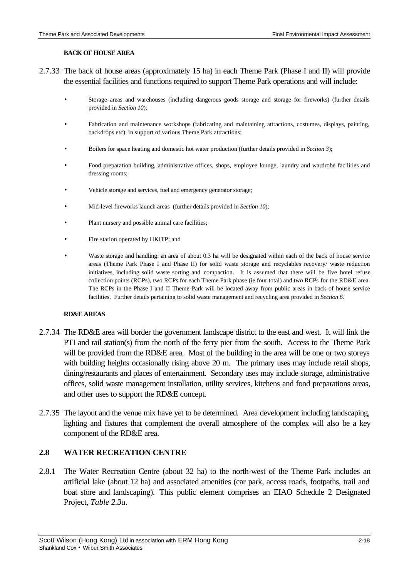#### **BACK OF HOUSE AREA**

- 2.7.33 The back of house areas (approximately 15 ha) in each Theme Park (Phase I and II) will provide the essential facilities and functions required to support Theme Park operations and will include:
	- Storage areas and warehouses (including dangerous goods storage and storage for fireworks) (further details provided in *Section 10*);
	- Fabrication and maintenance workshops (fabricating and maintaining attractions, costumes, displays, painting, backdrops etc) in support of various Theme Park attractions;
	- Boilers for space heating and domestic hot water production (further details provided in *Section 3*);
	- Food preparation building, administrative offices, shops, employee lounge, laundry and wardrobe facilities and dressing rooms;
	- Vehicle storage and services, fuel and emergency generator storage;
	- Mid-level fireworks launch areas (further details provided in *Section 10*);
	- Plant nursery and possible animal care facilities;
	- Fire station operated by HKITP; and
	- Waste storage and handling: an area of about 0.3 ha will be designated within each of the back of house service areas (Theme Park Phase I and Phase II) for solid waste storage and recyclables recovery/ waste reduction initiatives, including solid waste sorting and compaction. It is assumed that there will be five hotel refuse collection points (RCPs), two RCPs for each Theme Park phase (ie four total) and two RCPs for the RD&E area. The RCPs in the Phase I and II Theme Park will be located away from public areas in back of house service facilities. Further details pertaining to solid waste management and recycling area provided in *Section 6.*

#### **RD&E AREAS**

- 2.7.34 The RD&E area will border the government landscape district to the east and west. It will link the PTI and rail station(s) from the north of the ferry pier from the south. Access to the Theme Park will be provided from the RD&E area. Most of the building in the area will be one or two storeys with building heights occasionally rising above 20 m. The primary uses may include retail shops, dining/restaurants and places of entertainment. Secondary uses may include storage, administrative offices, solid waste management installation, utility services, kitchens and food preparations areas, and other uses to support the RD&E concept.
- 2.7.35 The layout and the venue mix have yet to be determined. Area development including landscaping, lighting and fixtures that complement the overall atmosphere of the complex will also be a key component of the RD&E area.

## **2.8 WATER RECREATION CENTRE**

2.8.1 The Water Recreation Centre (about 32 ha) to the north-west of the Theme Park includes an artificial lake (about 12 ha) and associated amenities (car park, access roads, footpaths, trail and boat store and landscaping). This public element comprises an EIAO Schedule 2 Designated Project, *Table 2.3a*.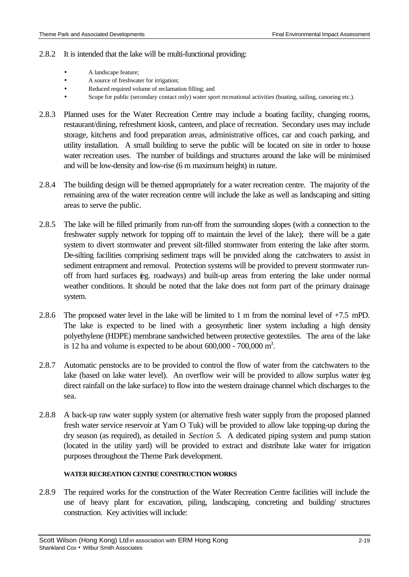### 2.8.2 It is intended that the lake will be multi-functional providing:

- A landscape feature;
- A source of freshwater for irrigation;
- Reduced required volume of reclamation filling; and
- Scope for public (secondary contact only) water sport recreational activities (boating, sailing, canoeing etc.).
- 2.8.3 Planned uses for the Water Recreation Centre may include a boating facility, changing rooms, restaurant/dining, refreshment kiosk, canteen, and place of recreation. Secondary uses may include storage, kitchens and food preparation areas, administrative offices, car and coach parking, and utility installation. A small building to serve the public will be located on site in order to house water recreation uses. The number of buildings and structures around the lake will be minimised and will be low-density and low-rise (6 m maximum height) in nature.
- 2.8.4 The building design will be themed appropriately for a water recreation centre. The majority of the remaining area of the water recreation centre will include the lake as well as landscaping and sitting areas to serve the public.
- 2.8.5 The lake will be filled primarily from run-off from the surrounding slopes (with a connection to the freshwater supply network for topping off to maintain the level of the lake); there will be a gate system to divert stormwater and prevent silt-filled stormwater from entering the lake after storm. De-silting facilities comprising sediment traps will be provided along the catchwaters to assist in sediment entrapment and removal. Protection systems will be provided to prevent stormwater runoff from hard surfaces (eg. roadways) and built-up areas from entering the lake under normal weather conditions. It should be noted that the lake does not form part of the primary drainage system.
- 2.8.6 The proposed water level in the lake will be limited to 1 m from the nominal level of +7.5 mPD. The lake is expected to be lined with a geosynthetic liner system including a high density polyethylene (HDPE) membrane sandwiched between protective geotextiles. The area of the lake is 12 ha and volume is expected to be about  $600,000$  -  $700,000$  m<sup>3</sup>.
- 2.8.7 Automatic penstocks are to be provided to control the flow of water from the catchwaters to the lake (based on lake water level). An overflow weir will be provided to allow surplus water (eg direct rainfall on the lake surface) to flow into the western drainage channel which discharges to the sea.
- 2.8.8 A back-up raw water supply system (or alternative fresh water supply from the proposed planned fresh water service reservoir at Yam O Tuk) will be provided to allow lake topping-up during the dry season (as required), as detailed in *Section 5*. A dedicated piping system and pump station (located in the utility yard) will be provided to extract and distribute lake water for irrigation purposes throughout the Theme Park development.

### **WATER RECREATION CENTRE CONSTRUCTION WORKS**

2.8.9 The required works for the construction of the Water Recreation Centre facilities will include the use of heavy plant for excavation, piling, landscaping, concreting and building/ structures construction. Key activities will include: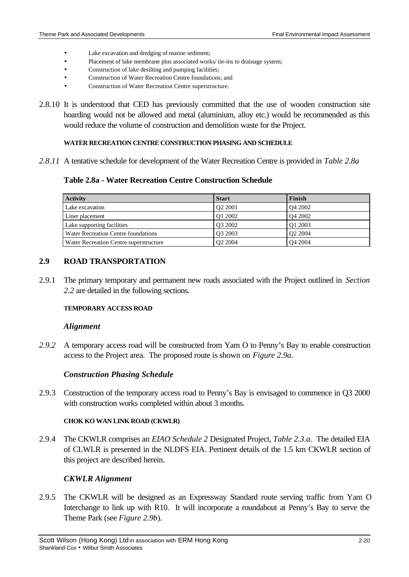- Lake excavation and dredging of marine sediment;
- Placement of lake membrane plus associated works/ tie-ins to drainage system;
- Construction of lake desilting and pumping facilities;
- Construction of Water Recreation Centre foundations; and
- Construction of Water Recreation Centre superstructure.
- 2.8.10 It is understood that CED has previously committed that the use of wooden construction site hoarding would not be allowed and metal (aluminium, alloy etc.) would be recommended as this would reduce the volume of construction and demolition waste for the Project.

#### **WATER RECREATION CENTRE CONSTRUCTION PHASING AND SCHEDULE**

*2.8.11* A tentative schedule for development of the Water Recreation Centre is provided in *Table 2.8a*

### **Table 2.8a - Water Recreation Centre Construction Schedule**

| <b>Activity</b>                        | <b>Start</b>        | Finish              |
|----------------------------------------|---------------------|---------------------|
| Lake excavation                        | O <sub>2</sub> 2001 | O <sub>4</sub> 2002 |
| Liner placement                        | O1 2002             | O <sub>4</sub> 2002 |
| Lake supporting facilities             | O <sub>3</sub> 2002 | O1 2003             |
| Water Recreation Centre foundations    | O <sub>3</sub> 2003 | O <sub>2</sub> 2004 |
| Water Recreation Centre superstructure | O <sub>2</sub> 2004 | O <sub>4</sub> 2004 |

### **2.9 ROAD TRANSPORTATION**

2.9.1 The primary temporary and permanent new roads associated with the Project outlined in *Section 2.2* are detailed in the following sections.

#### **TEMPORARY ACCESS ROAD**

#### *Alignment*

*2.9.2* A temporary access road will be constructed from Yam O to Penny's Bay to enable construction access to the Project area. The proposed route is shown on *Figure 2.9a.*

### *Construction Phasing Schedule*

2.9.3 Construction of the temporary access road to Penny's Bay is envisaged to commence in Q3 2000 with construction works completed within about 3 months.

### **CHOK KO WAN LINK ROAD (CKWLR)**

2.9.4 The CKWLR comprises an *EIAO Schedule 2* Designated Project, *Table 2.3.a*. The detailed EIA of CLWLR is presented in the NLDFS EIA. Pertinent details of the 1.5 km CKWLR section of this project are described herein.

## *CKWLR Alignment*

2.9.5 The CKWLR will be designed as an Expressway Standard route serving traffic from Yam O Interchange to link up with R10. It will incorporate a roundabout at Penny's Bay to serve the Theme Park (see *Figure 2.9b*).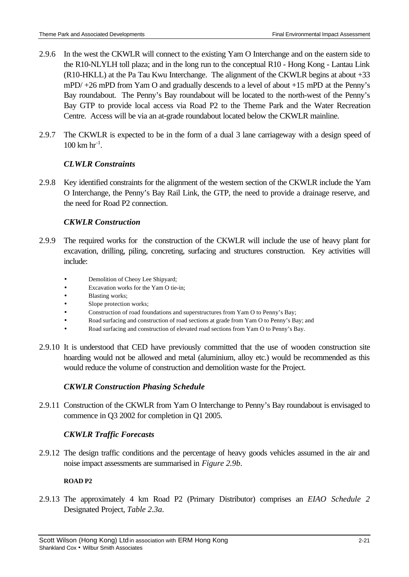- 2.9.6 In the west the CKWLR will connect to the existing Yam O Interchange and on the eastern side to the R10-NLYLH toll plaza; and in the long run to the conceptual R10 - Hong Kong - Lantau Link (R10-HKLL) at the Pa Tau Kwu Interchange. The alignment of the CKWLR begins at about +33 mPD/ +26 mPD from Yam O and gradually descends to a level of about +15 mPD at the Penny's Bay roundabout. The Penny's Bay roundabout will be located to the north-west of the Penny's Bay GTP to provide local access via Road P2 to the Theme Park and the Water Recreation Centre. Access will be via an at-grade roundabout located below the CKWLR mainline.
- 2.9.7 The CKWLR is expected to be in the form of a dual 3 lane carriageway with a design speed of  $100 \text{ km hr}^{-1}$ .

## *CLWLR Constraints*

2.9.8 Key identified constraints for the alignment of the western section of the CKWLR include the Yam O Interchange, the Penny's Bay Rail Link, the GTP, the need to provide a drainage reserve, and the need for Road P2 connection.

## *CKWLR Construction*

- 2.9.9 The required works for the construction of the CKWLR will include the use of heavy plant for excavation, drilling, piling, concreting, surfacing and structures construction. Key activities will include:
	- Demolition of Cheoy Lee Shipyard;
	- Excavation works for the Yam O tie-in;
	- Blasting works;
	- Slope protection works;
	- Construction of road foundations and superstructures from Yam O to Penny's Bay;
	- Road surfacing and construction of road sections at grade from Yam O to Penny's Bay; and
	- Road surfacing and construction of elevated road sections from Yam O to Penny's Bay.
- 2.9.10 It is understood that CED have previously committed that the use of wooden construction site hoarding would not be allowed and metal (aluminium, alloy etc.) would be recommended as this would reduce the volume of construction and demolition waste for the Project.

## *CKWLR Construction Phasing Schedule*

2.9.11 Construction of the CKWLR from Yam O Interchange to Penny's Bay roundabout is envisaged to commence in Q3 2002 for completion in Q1 2005.

## *CKWLR Traffic Forecasts*

2.9.12 The design traffic conditions and the percentage of heavy goods vehicles assumed in the air and noise impact assessments are summarised in *Figure 2.9b*.

## **ROAD P2**

2.9.13 The approximately 4 km Road P2 (Primary Distributor) comprises an *EIAO Schedule 2* Designated Project, *Table 2.3a*.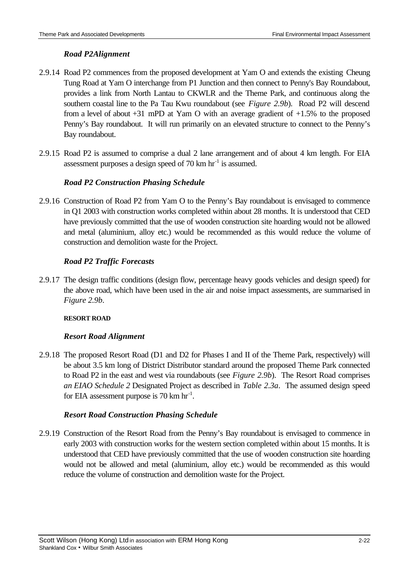## *Road P2Alignment*

- 2.9.14 Road P2 commences from the proposed development at Yam O and extends the existing Cheung Tung Road at Yam O interchange from P1 Junction and then connect to Penny's Bay Roundabout, provides a link from North Lantau to CKWLR and the Theme Park, and continuous along the southern coastal line to the Pa Tau Kwu roundabout (see *Figure 2.9b*). Road P2 will descend from a level of about +31 mPD at Yam O with an average gradient of +1.5% to the proposed Penny's Bay roundabout. It will run primarily on an elevated structure to connect to the Penny's Bay roundabout.
- 2.9.15 Road P2 is assumed to comprise a dual 2 lane arrangement and of about 4 km length. For EIA assessment purposes a design speed of  $70 \text{ km hr}^{-1}$  is assumed.

## *Road P2 Construction Phasing Schedule*

2.9.16 Construction of Road P2 from Yam O to the Penny's Bay roundabout is envisaged to commence in Q1 2003 with construction works completed within about 28 months. It is understood that CED have previously committed that the use of wooden construction site hoarding would not be allowed and metal (aluminium, alloy etc.) would be recommended as this would reduce the volume of construction and demolition waste for the Project.

## *Road P2 Traffic Forecasts*

2.9.17 The design traffic conditions (design flow, percentage heavy goods vehicles and design speed) for the above road, which have been used in the air and noise impact assessments, are summarised in *Figure 2.9b*.

## **RESORT ROAD**

## *Resort Road Alignment*

2.9.18 The proposed Resort Road (D1 and D2 for Phases I and II of the Theme Park, respectively) will be about 3.5 km long of District Distributor standard around the proposed Theme Park connected to Road P2 in the east and west via roundabouts (see *Figure 2.9b*). The Resort Road comprises *an EIAO Schedule 2* Designated Project as described in *Table 2.3a*. The assumed design speed for EIA assessment purpose is  $70 \text{ km hr}^{-1}$ .

## *Resort Road Construction Phasing Schedule*

2.9.19 Construction of the Resort Road from the Penny's Bay roundabout is envisaged to commence in early 2003 with construction works for the western section completed within about 15 months. It is understood that CED have previously committed that the use of wooden construction site hoarding would not be allowed and metal (aluminium, alloy etc.) would be recommended as this would reduce the volume of construction and demolition waste for the Project.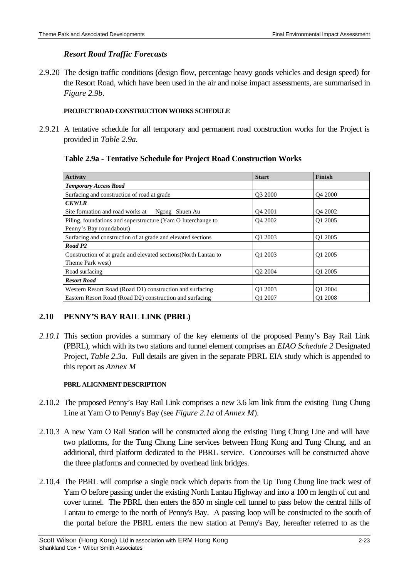### *Resort Road Traffic Forecasts*

2.9.20 The design traffic conditions (design flow, percentage heavy goods vehicles and design speed) for the Resort Road, which have been used in the air and noise impact assessments, are summarised in *Figure 2.9b*.

#### **PROJECT ROAD CONSTRUCTION WORKS SCHEDULE**

2.9.21 A tentative schedule for all temporary and permanent road construction works for the Project is provided in *Table 2.9a.*

### **Table 2.9a - Tentative Schedule for Project Road Construction Works**

| <b>Activity</b>                                                | <b>Start</b>        | Finish              |
|----------------------------------------------------------------|---------------------|---------------------|
| <b>Temporary Access Road</b>                                   |                     |                     |
| Surfacing and construction of road at grade                    | O3 2000             | O <sub>4</sub> 2000 |
| <b>CKWLR</b>                                                   |                     |                     |
| Site formation and road works at Ngong Shuen Au                | O <sub>4</sub> 2001 | Q4 2002             |
| Piling, foundations and superstructure (Yam O Interchange to   | O <sub>4</sub> 2002 | O1 2005             |
| Penny's Bay roundabout)                                        |                     |                     |
| Surfacing and construction of at grade and elevated sections   | O1 2003             | O1 2005             |
| Road P <sub>2</sub>                                            |                     |                     |
| Construction of at grade and elevated sections(North Lantau to | O1 2003             | O1 2005             |
| Theme Park west)                                               |                     |                     |
| Road surfacing                                                 | O <sub>2</sub> 2004 | O1 2005             |
| <b>Resort Road</b>                                             |                     |                     |
| Western Resort Road (Road D1) construction and surfacing       | Q1 2003             | Q1 2004             |
| Eastern Resort Road (Road D2) construction and surfacing       | O1 2007             | O1 2008             |

## **2.10 PENNY'S BAY RAIL LINK (PBRL)**

*2.10.1* This section provides a summary of the key elements of the proposed Penny's Bay Rail Link (PBRL), which with its two stations and tunnel element comprises an *EIAO Schedule 2* Designated Project, *Table 2.3a*. Full details are given in the separate PBRL EIA study which is appended to this report as *Annex M*

#### **PBRL ALIGNMENT DESCRIPTION**

- 2.10.2 The proposed Penny's Bay Rail Link comprises a new 3.6 km link from the existing Tung Chung Line at Yam O to Penny's Bay (see *Figure 2.1a* of *Annex M*).
- 2.10.3 A new Yam O Rail Station will be constructed along the existing Tung Chung Line and will have two platforms, for the Tung Chung Line services between Hong Kong and Tung Chung, and an additional, third platform dedicated to the PBRL service. Concourses will be constructed above the three platforms and connected by overhead link bridges.
- 2.10.4 The PBRL will comprise a single track which departs from the Up Tung Chung line track west of Yam O before passing under the existing North Lantau Highway and into a 100 m length of cut and cover tunnel. The PBRL then enters the 850 m single cell tunnel to pass below the central hills of Lantau to emerge to the north of Penny's Bay. A passing loop will be constructed to the south of the portal before the PBRL enters the new station at Penny's Bay, hereafter referred to as the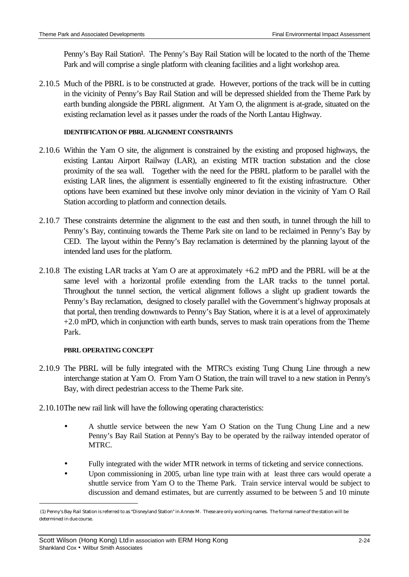Penny's Bay Rail Station<sup>1</sup>. The Penny's Bay Rail Station will be located to the north of the Theme Park and will comprise a single platform with cleaning facilities and a light workshop area.

2.10.5 Much of the PBRL is to be constructed at grade. However, portions of the track will be in cutting in the vicinity of Penny's Bay Rail Station and will be depressed shielded from the Theme Park by earth bunding alongside the PBRL alignment. At Yam O, the alignment is at-grade, situated on the existing reclamation level as it passes under the roads of the North Lantau Highway.

### **IDENTIFICATION OF PBRL ALIGNMENT CONSTRAINTS**

- 2.10.6 Within the Yam O site, the alignment is constrained by the existing and proposed highways, the existing Lantau Airport Railway (LAR), an existing MTR traction substation and the close proximity of the sea wall. Together with the need for the PBRL platform to be parallel with the existing LAR lines, the alignment is essentially engineered to fit the existing infrastructure. Other options have been examined but these involve only minor deviation in the vicinity of Yam O Rail Station according to platform and connection details.
- 2.10.7 These constraints determine the alignment to the east and then south, in tunnel through the hill to Penny's Bay, continuing towards the Theme Park site on land to be reclaimed in Penny's Bay by CED. The layout within the Penny's Bay reclamation is determined by the planning layout of the intended land uses for the platform.
- 2.10.8 The existing LAR tracks at Yam O are at approximately +6.2 mPD and the PBRL will be at the same level with a horizontal profile extending from the LAR tracks to the tunnel portal. Throughout the tunnel section, the vertical alignment follows a slight up gradient towards the Penny's Bay reclamation, designed to closely parallel with the Government's highway proposals at that portal, then trending downwards to Penny's Bay Station, where it is at a level of approximately  $+2.0$  mPD, which in conjunction with earth bunds, serves to mask train operations from the Theme Park.

### **PBRL OPERATING CONCEPT**

 $\overline{a}$ 

- 2.10.9 The PBRL will be fully integrated with the MTRC's existing Tung Chung Line through a new interchange station at Yam O. From Yam O Station, the train will travel to a new station in Penny's Bay, with direct pedestrian access to the Theme Park site.
- 2.10.10 The new rail link will have the following operating characteristics:
	- A shuttle service between the new Yam O Station on the Tung Chung Line and a new Penny's Bay Rail Station at Penny's Bay to be operated by the railway intended operator of MTRC.
	- Fully integrated with the wider MTR network in terms of ticketing and service connections.
	- Upon commissioning in 2005, urban line type train with at least three cars would operate a shuttle service from Yam O to the Theme Park. Train service interval would be subject to discussion and demand estimates, but are currently assumed to be between 5 and 10 minute

 <sup>(1)</sup> Penny's Bay Rail Station is referred to as "Disneyland Station" in Annex M. These are only working names. The formal name of the station will be determined in due course.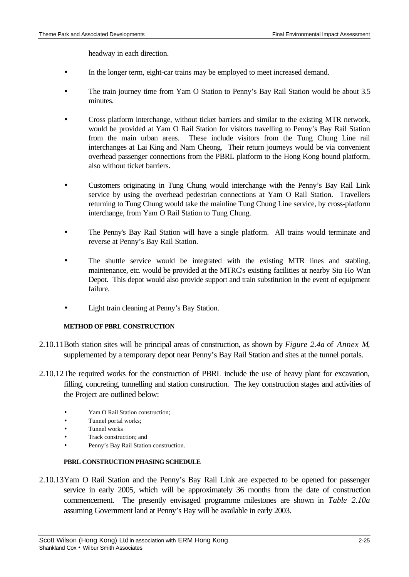headway in each direction.

- In the longer term, eight-car trains may be employed to meet increased demand.
- The train journey time from Yam O Station to Penny's Bay Rail Station would be about 3.5 minutes.
- Cross platform interchange, without ticket barriers and similar to the existing MTR network, would be provided at Yam O Rail Station for visitors travelling to Penny's Bay Rail Station from the main urban areas. These include visitors from the Tung Chung Line rail interchanges at Lai King and Nam Cheong. Their return journeys would be via convenient overhead passenger connections from the PBRL platform to the Hong Kong bound platform, also without ticket barriers.
- Customers originating in Tung Chung would interchange with the Penny's Bay Rail Link service by using the overhead pedestrian connections at Yam O Rail Station. Travellers returning to Tung Chung would take the mainline Tung Chung Line service, by cross-platform interchange, from Yam O Rail Station to Tung Chung.
- The Penny's Bay Rail Station will have a single platform. All trains would terminate and reverse at Penny's Bay Rail Station.
- The shuttle service would be integrated with the existing MTR lines and stabling, maintenance, etc. would be provided at the MTRC's existing facilities at nearby Siu Ho Wan Depot. This depot would also provide support and train substitution in the event of equipment failure.
- Light train cleaning at Penny's Bay Station.

### **METHOD OF PBRL CONSTRUCTION**

- 2.10.11 Both station sites will be principal areas of construction, as shown by *Figure 2.4a* of *Annex M*, supplemented by a temporary depot near Penny's Bay Rail Station and sites at the tunnel portals.
- 2.10.12 The required works for the construction of PBRL include the use of heavy plant for excavation, filling, concreting, tunnelling and station construction. The key construction stages and activities of the Project are outlined below:
	- Yam O Rail Station construction;
	- Tunnel portal works;
	- Tunnel works
	- Track construction; and
	- Penny's Bay Rail Station construction.

### **PBRL CONSTRUCTION PHASING SCHEDULE**

2.10.13 Yam O Rail Station and the Penny's Bay Rail Link are expected to be opened for passenger service in early 2005, which will be approximately 36 months from the date of construction commencement. The presently envisaged programme milestones are shown in *Table 2.10a* assuming Government land at Penny's Bay will be available in early 2003.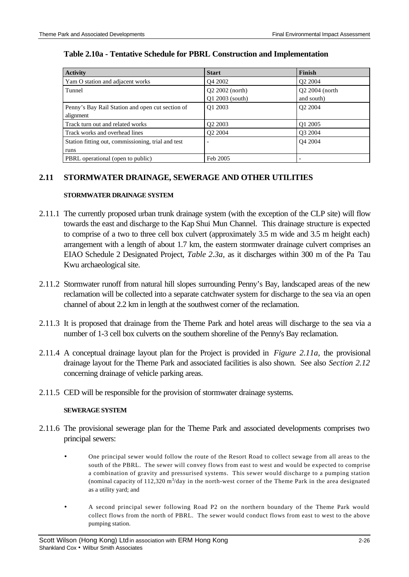| <b>Activity</b>                                               | <b>Start</b>                         | Finish                       |
|---------------------------------------------------------------|--------------------------------------|------------------------------|
| Yam O station and adjacent works                              | O <sub>4</sub> 2002                  | O <sub>2</sub> 2004          |
| Tunnel                                                        | $Q2 2002$ (north)<br>Q1 2003 (south) | Q2 2004 (north<br>and south) |
| Penny's Bay Rail Station and open cut section of<br>alignment | O1 2003                              | O <sub>2</sub> 2004          |
| Track turn out and related works                              | O <sub>2</sub> 2003                  | O1 2005                      |
| Track works and overhead lines                                | O <sub>2</sub> 2004                  | O3 2004                      |
| Station fitting out, commissioning, trial and test<br>runs    | $\overline{\phantom{a}}$             | O <sub>4</sub> 2004          |
| PBRL operational (open to public)                             | Feb 2005                             |                              |

### **Table 2.10a - Tentative Schedule for PBRL Construction and Implementation**

### **2.11 STORMWATER DRAINAGE, SEWERAGE AND OTHER UTILITIES**

#### **STORMWATER DRAINAGE SYSTEM**

- 2.11.1 The currently proposed urban trunk drainage system (with the exception of the CLP site) will flow towards the east and discharge to the Kap Shui Mun Channel. This drainage structure is expected to comprise of a two to three cell box culvert (approximately 3.5 m wide and 3.5 m height each) arrangement with a length of about 1.7 km, the eastern stormwater drainage culvert comprises an EIAO Schedule 2 Designated Project, *Table 2.3a,* as it discharges within 300 m of the Pa Tau Kwu archaeological site.
- 2.11.2 Stormwater runoff from natural hill slopes surrounding Penny's Bay, landscaped areas of the new reclamation will be collected into a separate catchwater system for discharge to the sea via an open channel of about 2.2 km in length at the southwest corner of the reclamation.
- 2.11.3 It is proposed that drainage from the Theme Park and hotel areas will discharge to the sea via a number of 1-3 cell box culverts on the southern shoreline of the Penny's Bay reclamation.
- 2.11.4 A conceptual drainage layout plan for the Project is provided in *Figure 2.11a,* the provisional drainage layout for the Theme Park and associated facilities is also shown. See also *Section 2.12* concerning drainage of vehicle parking areas.
- 2.11.5 CED will be responsible for the provision of stormwater drainage systems.

#### **SEWERAGE SYSTEM**

- 2.11.6 The provisional sewerage plan for the Theme Park and associated developments comprises two principal sewers:
	- One principal sewer would follow the route of the Resort Road to collect sewage from all areas to the south of the PBRL. The sewer will convey flows from east to west and would be expected to comprise a combination of gravity and pressurised systems. This sewer would discharge to a pumping station (nominal capacity of 112,320  $\text{m}^3/\text{day}$  in the north-west corner of the Theme Park in the area designated as a utility yard; and
	- A second principal sewer following Road P2 on the northern boundary of the Theme Park would collect flows from the north of PBRL. The sewer would conduct flows from east to west to the above pumping station.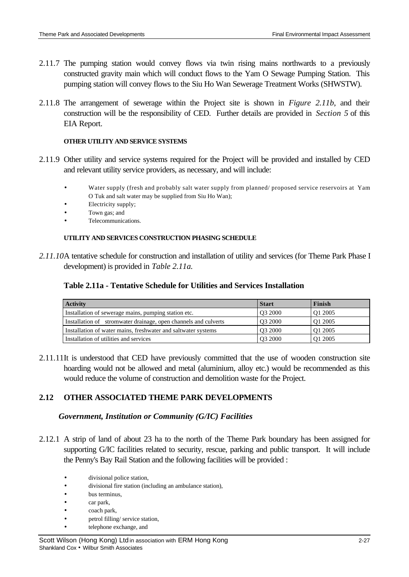- 2.11.7 The pumping station would convey flows via twin rising mains northwards to a previously constructed gravity main which will conduct flows to the Yam O Sewage Pumping Station. This pumping station will convey flows to the Siu Ho Wan Sewerage Treatment Works (SHWSTW).
- 2.11.8 The arrangement of sewerage within the Project site is shown in *Figure 2.11b*, and their construction will be the responsibility of CED. Further details are provided in *Section 5* of this EIA Report.

#### **OTHER UTILITY AND SERVICE SYSTEMS**

- 2.11.9 Other utility and service systems required for the Project will be provided and installed by CED and relevant utility service providers, as necessary, and will include:
	- Water supply (fresh and probably salt water supply from planned/ proposed service reservoirs at Yam O Tuk and salt water may be supplied from Siu Ho Wan);
	- Electricity supply;
	- Town gas; and
	- Telecommunications.

#### **UTILITY AND SERVICES CONSTRUCTION PHASING SCHEDULE**

*2.11.10* A tentative schedule for construction and installation of utility and services (for Theme Park Phase I development) is provided in *Table 2.11a.*

#### **Table 2.11a - Tentative Schedule for Utilities and Services Installation**

| <b>Activity</b>                                                 | <b>Start</b>        | Finish  |
|-----------------------------------------------------------------|---------------------|---------|
| Installation of sewerage mains, pumping station etc.            | O <sub>3</sub> 2000 | O1 2005 |
| Installation of stromwater drainage, open channels and culverts | O <sub>3</sub> 2000 | O1 2005 |
| Installation of water mains, freshwater and saltwater systems   | O3 2000             | O1 2005 |
| Installation of utilities and services                          | O <sub>3</sub> 2000 | O1 2005 |

2.11.11 It is understood that CED have previously committed that the use of wooden construction site hoarding would not be allowed and metal (aluminium, alloy etc.) would be recommended as this would reduce the volume of construction and demolition waste for the Project.

## **2.12 OTHER ASSOCIATED THEME PARK DEVELOPMENTS**

### *Government, Institution or Community (G/IC) Facilities*

- 2.12.1 A strip of land of about 23 ha to the north of the Theme Park boundary has been assigned for supporting G/IC facilities related to security, rescue, parking and public transport. It will include the Penny's Bay Rail Station and the following facilities will be provided :
	- divisional police station,
	- divisional fire station (including an ambulance station),
	- bus terminus,
	- car park,
	- coach park,
	- petrol filling/ service station,
	- telephone exchange, and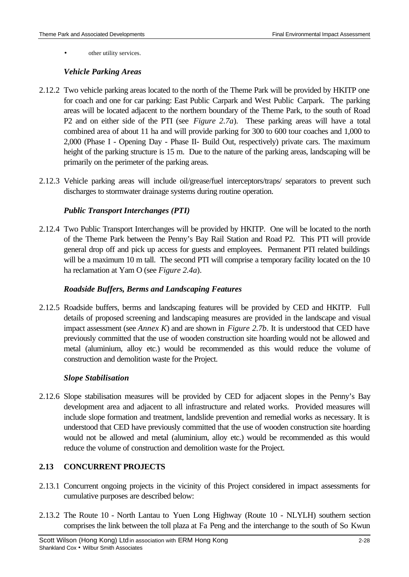other utility services.

### *Vehicle Parking Areas*

- 2.12.2 Two vehicle parking areas located to the north of the Theme Park will be provided by HKITP one for coach and one for car parking: East Public Carpark and West Public Carpark. The parking areas will be located adjacent to the northern boundary of the Theme Park, to the south of Road P2 and on either side of the PTI (see *Figure 2.7a*). These parking areas will have a total combined area of about 11 ha and will provide parking for 300 to 600 tour coaches and 1,000 to 2,000 (Phase I - Opening Day - Phase II- Build Out, respectively) private cars. The maximum height of the parking structure is 15 m. Due to the nature of the parking areas, landscaping will be primarily on the perimeter of the parking areas.
- 2.12.3 Vehicle parking areas will include oil/grease/fuel interceptors/traps/ separators to prevent such discharges to stormwater drainage systems during routine operation.

## *Public Transport Interchanges (PTI)*

2.12.4 Two Public Transport Interchanges will be provided by HKITP. One will be located to the north of the Theme Park between the Penny's Bay Rail Station and Road P2. This PTI will provide general drop off and pick up access for guests and employees. Permanent PTI related buildings will be a maximum 10 m tall. The second PTI will comprise a temporary facility located on the 10 ha reclamation at Yam O (see *Figure 2.4a*).

### *Roadside Buffers, Berms and Landscaping Features*

2.12.5 Roadside buffers, berms and landscaping features will be provided by CED and HKITP. Full details of proposed screening and landscaping measures are provided in the landscape and visual impact assessment (see *Annex K*) and are shown in *Figure 2.7b*. It is understood that CED have previously committed that the use of wooden construction site hoarding would not be allowed and metal (aluminium, alloy etc.) would be recommended as this would reduce the volume of construction and demolition waste for the Project.

## *Slope Stabilisation*

2.12.6 Slope stabilisation measures will be provided by CED for adjacent slopes in the Penny's Bay development area and adjacent to all infrastructure and related works. Provided measures will include slope formation and treatment, landslide prevention and remedial works as necessary. It is understood that CED have previously committed that the use of wooden construction site hoarding would not be allowed and metal (aluminium, alloy etc.) would be recommended as this would reduce the volume of construction and demolition waste for the Project.

## **2.13 CONCURRENT PROJECTS**

- 2.13.1 Concurrent ongoing projects in the vicinity of this Project considered in impact assessments for cumulative purposes are described below:
- 2.13.2 The Route 10 North Lantau to Yuen Long Highway (Route 10 NLYLH) southern section comprises the link between the toll plaza at Fa Peng and the interchange to the south of So Kwun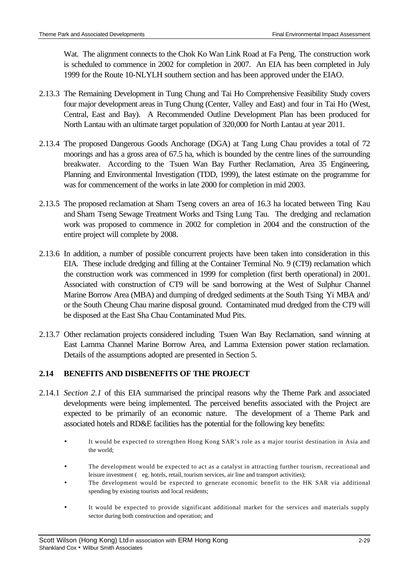Wat. The alignment connects to the Chok Ko Wan Link Road at Fa Peng. The construction work is scheduled to commence in 2002 for completion in 2007. An EIA has been completed in July 1999 for the Route 10-NLYLH southern section and has been approved under the EIAO.

- 2.13.3 The Remaining Development in Tung Chung and Tai Ho Comprehensive Feasibility Study covers four major development areas in Tung Chung (Center, Valley and East) and four in Tai Ho (West, Central, East and Bay). A Recommended Outline Development Plan has been produced for North Lantau with an ultimate target population of 320,000 for North Lantau at year 2011.
- 2.13.4 The proposed Dangerous Goods Anchorage (DGA) at Tang Lung Chau provides a total of 72 moorings and has a gross area of 67.5 ha, which is bounded by the centre lines of the surrounding breakwater. According to the Tsuen Wan Bay Further Reclamation, Area 35 Engineering, Planning and Environmental Investigation (TDD, 1999), the latest estimate on the programme for was for commencement of the works in late 2000 for completion in mid 2003.
- 2.13.5 The proposed reclamation at Sham Tseng covers an area of 16.3 ha located between Ting Kau and Sham Tseng Sewage Treatment Works and Tsing Lung Tau. The dredging and reclamation work was proposed to commence in 2002 for completion in 2004 and the construction of the entire project will complete by 2008.
- 2.13.6 In addition, a number of possible concurrent projects have been taken into consideration in this EIA. These include dredging and filling at the Container Terminal No. 9 (CT9) reclamation which the construction work was commenced in 1999 for completion (first berth operational) in 2001. Associated with construction of CT9 will be sand borrowing at the West of Sulphur Channel Marine Borrow Area (MBA) and dumping of dredged sediments at the South Tsing Yi MBA and/ or the South Cheung Chau marine disposal ground. Contaminated mud dredged from the CT9 will be disposed at the East Sha Chau Contaminated Mud Pits.
- 2.13.7 Other reclamation projects considered including Tsuen Wan Bay Reclamation, sand winning at East Lamma Channel Marine Borrow Area, and Lamma Extension power station reclamation. Details of the assumptions adopted are presented in Section 5.

## **2.14 BENEFITS AND DISBENEFITS OF THE PROJECT**

- 2.14.1 *Section 2.1* of this EIA summarised the principal reasons why the Theme Park and associated developments were being implemented. The perceived benefits associated with the Project are expected to be primarily of an economic nature. The development of a Theme Park and associated hotels and RD&E facilities has the potential for the following key benefits:
	- It would be expected to strengthen Hong Kong SAR's role as a major tourist destination in Asia and the world;
	- The development would be expected to act as a catalyst in attracting further tourism, recreational and leisure investment ( eg. hotels, retail, tourism services, air line and transport activities);
	- The development would be expected to generate economic benefit to the HK SAR via additional spending by existing tourists and local residents;
	- It would be expected to provide significant additional market for the services and materials supply sector during both construction and operation; and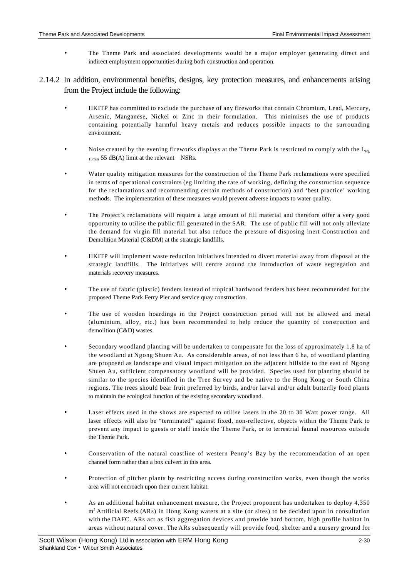- The Theme Park and associated developments would be a major employer generating direct and indirect employment opportunities during both construction and operation.
- 2.14.2 In addition, environmental benefits, designs, key protection measures, and enhancements arising from the Project include the following:
	- HKITP has committed to exclude the purchase of any fireworks that contain Chromium, Lead, Mercury, Arsenic, Manganese, Nickel or Zinc in their formulation. This minimises the use of products containing potentially harmful heavy metals and reduces possible impacts to the surrounding environment.
	- Noise created by the evening fireworks displays at the Theme Park is restricted to comply with the  $L_{eq}$  $15\text{min}$  55 dB(A) limit at the relevant NSRs.
	- Water quality mitigation measures for the construction of the Theme Park reclamations were specified in terms of operational constraints (eg limiting the rate of working, defining the construction sequence for the reclamations and recommending certain methods of construction) and 'best practice' working methods. The implementation of these measures would prevent adverse impacts to water quality.
	- The Project's reclamations will require a large amount of fill material and therefore offer a very good opportunity to utilise the public fill generated in the SAR. The use of public fill will not only alleviate the demand for virgin fill material but also reduce the pressure of disposing inert Construction and Demolition Material (C&DM) at the strategic landfills.
	- HKITP will implement waste reduction initiatives intended to divert material away from disposal at the strategic landfills. The initiatives will centre around the introduction of waste segregation and materials recovery measures.
	- The use of fabric (plastic) fenders instead of tropical hardwood fenders has been recommended for the proposed Theme Park Ferry Pier and service quay construction.
	- The use of wooden hoardings in the Project construction period will not be allowed and metal (aluminium, alloy, etc.) has been recommended to help reduce the quantity of construction and demolition (C&D) wastes.
	- Secondary woodland planting will be undertaken to compensate for the loss of approximately 1.8 ha of the woodland at Ngong Shuen Au. As considerable areas, of not less than 6 ha, of woodland planting are proposed as landscape and visual impact mitigation on the adjacent hillside to the east of Ngong Shuen Au, sufficient compensatory woodland will be provided. Species used for planting should be similar to the species identified in the Tree Survey and be native to the Hong Kong or South China regions. The trees should bear fruit preferred by birds, and/or larval and/or adult butterfly food plants to maintain the ecological function of the existing secondary woodland.
	- Laser effects used in the shows are expected to utilise lasers in the 20 to 30 Watt power range. All laser effects will also be "terminated" against fixed, non-reflective, objects within the Theme Park to prevent any impact to guests or staff inside the Theme Park, or to terrestrial faunal resources outside the Theme Park.
	- Conservation of the natural coastline of western Penny's Bay by the recommendation of an open channel form rather than a box culvert in this area.
	- Protection of pitcher plants by restricting access during construction works, even though the works area will not encroach upon their current habitat.
	- As an additional habitat enhancement measure, the Project proponent has undertaken to deploy 4,350 m<sup>3</sup> Artificial Reefs (ARs) in Hong Kong waters at a site (or sites) to be decided upon in consultation with the DAFC. ARs act as fish aggregation devices and provide hard bottom, high profile habitat in areas without natural cover. The ARs subsequently will provide food, shelter and a nursery ground for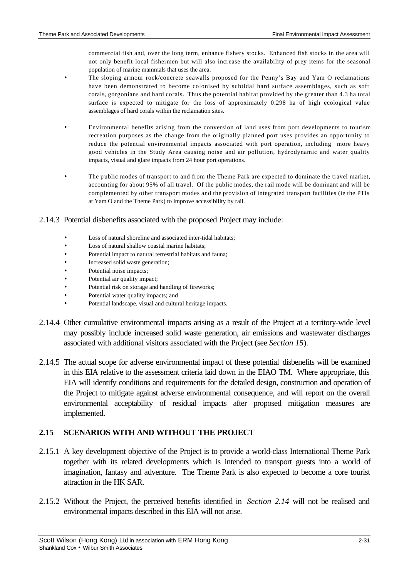commercial fish and, over the long term, enhance fishery stocks. Enhanced fish stocks in the area will not only benefit local fishermen but will also increase the availability of prey items for the seasonal population of marine mammals that uses the area.

- The sloping armour rock/concrete seawalls proposed for the Penny's Bay and Yam O reclamations have been demonstrated to become colonised by subtidal hard surface assemblages, such as soft corals, gorgonians and hard corals. Thus the potential habitat provided by the greater than 4.3 ha total surface is expected to mitigate for the loss of approximately 0.298 ha of high ecological value assemblages of hard corals within the reclamation sites.
- Environmental benefits arising from the conversion of land uses from port developments to tourism recreation purposes as the change from the originally planned port uses provides an opportunity to reduce the potential environmental impacts associated with port operation, including more heavy good vehicles in the Study Area causing noise and air pollution, hydrodynamic and water quality impacts, visual and glare impacts from 24 hour port operations.
- The public modes of transport to and from the Theme Park are expected to dominate the travel market, accounting for about 95% of all travel. Of the public modes, the rail mode will be dominant and will be complemented by other transport modes and the provision of integrated transport facilities (ie the PTIs at Yam O and the Theme Park) to improve accessibility by rail.

#### 2.14.3 Potential disbenefits associated with the proposed Project may include:

- Loss of natural shoreline and associated inter-tidal habitats;
- Loss of natural shallow coastal marine habitats:
- Potential impact to natural terrestrial habitats and fauna:
- Increased solid waste generation;
- Potential noise impacts;
- Potential air quality impact;
- Potential risk on storage and handling of fireworks;
- Potential water quality impacts; and
- Potential landscape, visual and cultural heritage impacts.
- 2.14.4 Other cumulative environmental impacts arising as a result of the Project at a territory-wide level may possibly include increased solid waste generation, air emissions and wastewater discharges associated with additional visitors associated with the Project (see *Section 15*).
- 2.14.5 The actual scope for adverse environmental impact of these potential disbenefits will be examined in this EIA relative to the assessment criteria laid down in the EIAO TM. Where appropriate, this EIA will identify conditions and requirements for the detailed design, construction and operation of the Project to mitigate against adverse environmental consequence, and will report on the overall environmental acceptability of residual impacts after proposed mitigation measures are implemented.

### **2.15 SCENARIOS WITH AND WITHOUT THE PROJECT**

- 2.15.1 A key development objective of the Project is to provide a world-class International Theme Park together with its related developments which is intended to transport guests into a world of imagination, fantasy and adventure. The Theme Park is also expected to become a core tourist attraction in the HK SAR.
- 2.15.2 Without the Project, the perceived benefits identified in *Section 2.14* will not be realised and environmental impacts described in this EIA will not arise.